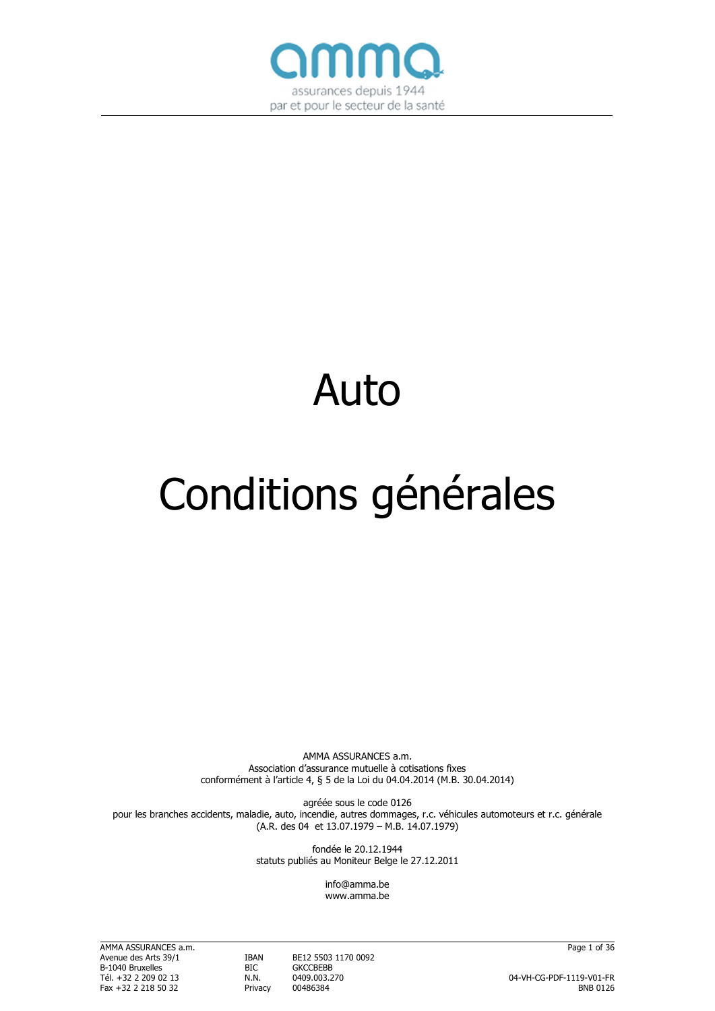

# Auto

# Conditions générales

AMMA ASSURANCES a.m. Association d'assurance mutuelle à cotisations fixes conformément à l'article 4, § 5 de la Loi du 04.04.2014 (M.B. 30.04.2014)

agréée sous le code 0126 pour les branches accidents, maladie, auto, incendie, autres dommages, r.c. véhicules automoteurs et r.c. générale (A.R. des 04 et 13.07.1979 – M.B. 14.07.1979)

> fondée le 20.12.1944 statuts publiés au Moniteur Belge le 27.12.2011

> > info@amma.be www.amma.be

AMMA ASSURANCES a.m. Page 1 of 36 B-1040 Bruxelles BIC GKCCBEBB<br>Tél. +32 2 209 02 13 N.N. 0409.003.270 Fax +32 2 218 50 32 Privacy

**IBAN BE12 5503 1170 0092**<br>BIC GKCCBEBB

Tél. +32 2 209 02 13 N.N. 0409.003.270 04-VH-CG-PDF-1119-V01-FR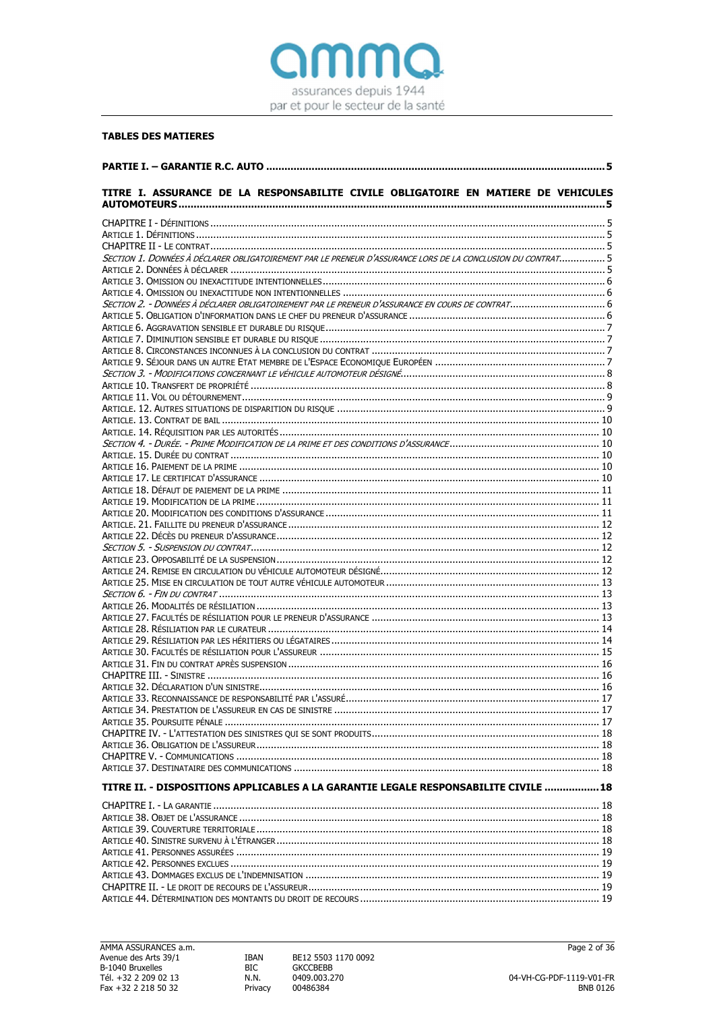

# **TABLES DES MATIERES**

| TITRE I. ASSURANCE DE LA RESPONSABILITE CIVILE OBLIGATOIRE EN MATIERE DE VEHICULES                          |     |
|-------------------------------------------------------------------------------------------------------------|-----|
|                                                                                                             |     |
|                                                                                                             |     |
|                                                                                                             |     |
| SECTION 1. DONNÉES À DÉCLARER OBLIGATOIREMENT PAR LE PRENEUR D'ASSURANCE LORS DE LA CONCLUSION DU CONTRAT 5 |     |
|                                                                                                             |     |
|                                                                                                             |     |
|                                                                                                             |     |
| SECTION 2. - DONNÉES À DÉCLARER OBLIGATOIREMENT PAR LE PRENEUR D'ASSURANCE EN COURS DE CONTRAT 6            |     |
|                                                                                                             |     |
|                                                                                                             |     |
|                                                                                                             |     |
|                                                                                                             |     |
|                                                                                                             |     |
|                                                                                                             |     |
|                                                                                                             |     |
|                                                                                                             |     |
|                                                                                                             |     |
|                                                                                                             |     |
|                                                                                                             |     |
|                                                                                                             |     |
|                                                                                                             |     |
|                                                                                                             |     |
|                                                                                                             |     |
|                                                                                                             |     |
|                                                                                                             |     |
|                                                                                                             |     |
|                                                                                                             |     |
|                                                                                                             |     |
|                                                                                                             |     |
|                                                                                                             |     |
|                                                                                                             |     |
|                                                                                                             |     |
|                                                                                                             |     |
|                                                                                                             |     |
|                                                                                                             |     |
|                                                                                                             |     |
|                                                                                                             |     |
|                                                                                                             |     |
|                                                                                                             |     |
|                                                                                                             | .17 |
|                                                                                                             |     |
|                                                                                                             |     |
|                                                                                                             |     |
|                                                                                                             |     |
|                                                                                                             |     |
|                                                                                                             |     |
| TITRE II. - DISPOSITIONS APPLICABLES A LA GARANTIE LEGALE RESPONSABILITE CIVILE  18                         |     |
|                                                                                                             |     |
|                                                                                                             |     |
|                                                                                                             |     |
|                                                                                                             |     |
|                                                                                                             |     |
|                                                                                                             |     |
|                                                                                                             |     |
|                                                                                                             |     |
|                                                                                                             |     |

**IBAN**  $BIC$  $N.N.$ Privacy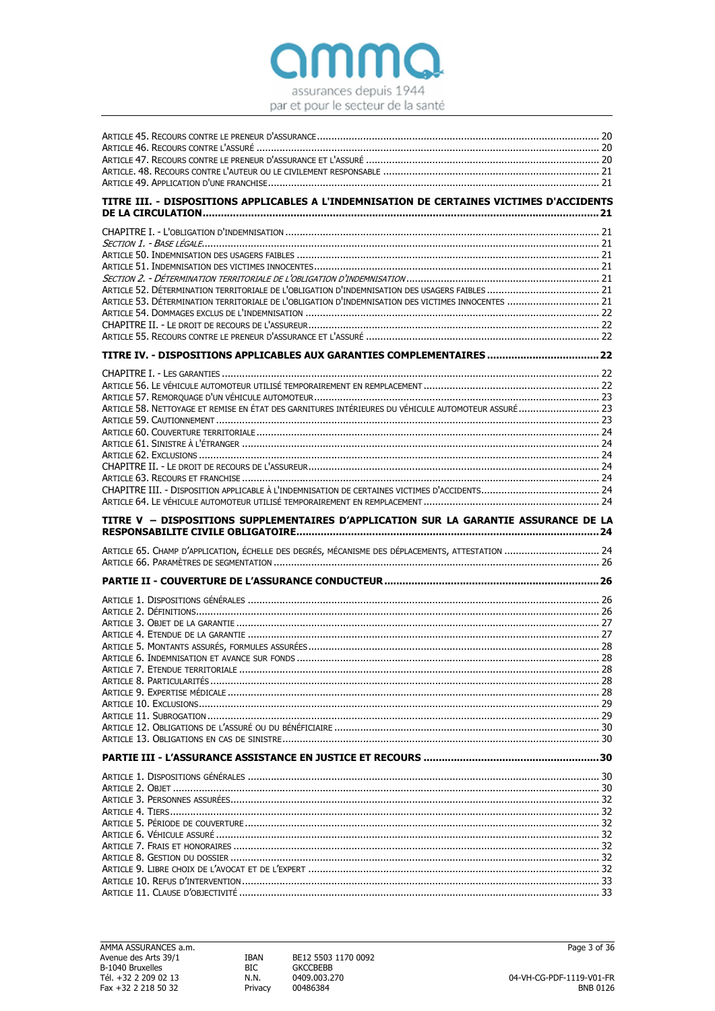

| TITRE III. - DISPOSITIONS APPLICABLES A L'INDEMNISATION DE CERTAINES VICTIMES D'ACCIDENTS            |  |
|------------------------------------------------------------------------------------------------------|--|
|                                                                                                      |  |
|                                                                                                      |  |
|                                                                                                      |  |
|                                                                                                      |  |
|                                                                                                      |  |
|                                                                                                      |  |
|                                                                                                      |  |
|                                                                                                      |  |
|                                                                                                      |  |
| ARTICLE 53. DÉTERMINATION TERRITORIALE DE L'OBLIGATION D'INDEMNISATION DES VICTIMES INNOCENTES  21   |  |
|                                                                                                      |  |
|                                                                                                      |  |
|                                                                                                      |  |
|                                                                                                      |  |
|                                                                                                      |  |
|                                                                                                      |  |
|                                                                                                      |  |
|                                                                                                      |  |
|                                                                                                      |  |
| ARTICLE 58. NETTOYAGE ET REMISE EN ÉTAT DES GARNITURES INTÉRIEURES DU VÉHICULE AUTOMOTEUR ASSURÉ  23 |  |
|                                                                                                      |  |
|                                                                                                      |  |
|                                                                                                      |  |
|                                                                                                      |  |
|                                                                                                      |  |
|                                                                                                      |  |
|                                                                                                      |  |
|                                                                                                      |  |
|                                                                                                      |  |
|                                                                                                      |  |
|                                                                                                      |  |
| TITRE V - DISPOSITIONS SUPPLEMENTAIRES D'APPLICATION SUR LA GARANTIE ASSURANCE DE LA                 |  |
|                                                                                                      |  |
|                                                                                                      |  |
|                                                                                                      |  |
| ARTICLE 65. CHAMP D'APPLICATION, ÉCHELLE DES DEGRÉS, MÉCANISME DES DÉPLACEMENTS, ATTESTATION  24     |  |
|                                                                                                      |  |
|                                                                                                      |  |
|                                                                                                      |  |
|                                                                                                      |  |
|                                                                                                      |  |
|                                                                                                      |  |
|                                                                                                      |  |
|                                                                                                      |  |
|                                                                                                      |  |
|                                                                                                      |  |
|                                                                                                      |  |
|                                                                                                      |  |
|                                                                                                      |  |
|                                                                                                      |  |
|                                                                                                      |  |
|                                                                                                      |  |
|                                                                                                      |  |
|                                                                                                      |  |
|                                                                                                      |  |
|                                                                                                      |  |
|                                                                                                      |  |
|                                                                                                      |  |
|                                                                                                      |  |
|                                                                                                      |  |
|                                                                                                      |  |
|                                                                                                      |  |
|                                                                                                      |  |
|                                                                                                      |  |
|                                                                                                      |  |
|                                                                                                      |  |
|                                                                                                      |  |
|                                                                                                      |  |
|                                                                                                      |  |

**IBAN**  $BIC$  $N.N.$ Privacy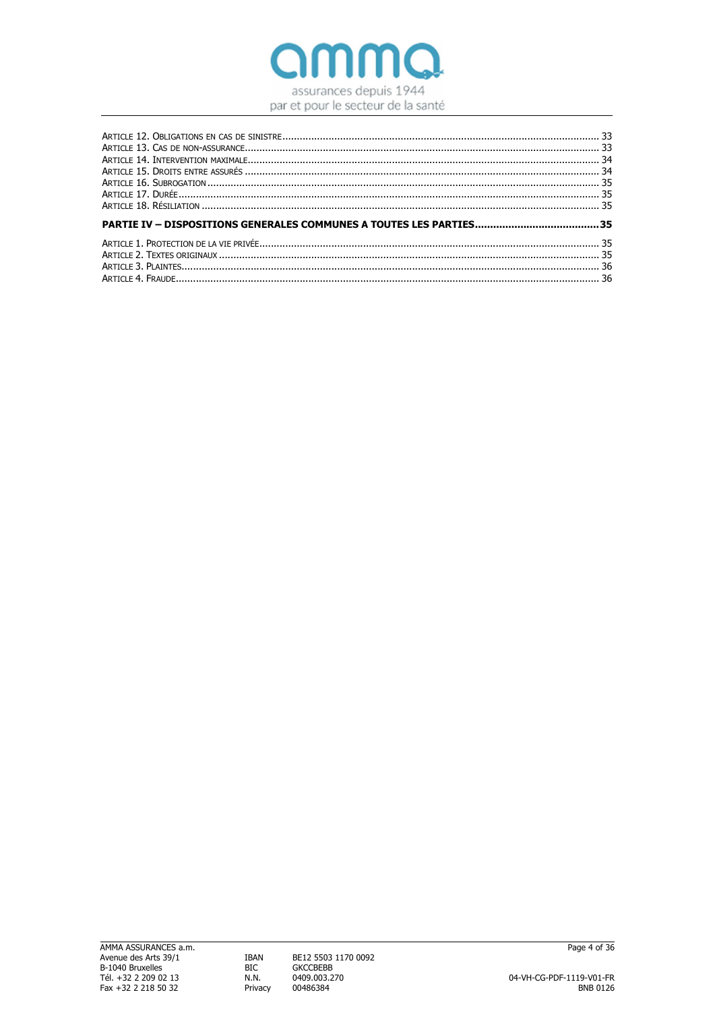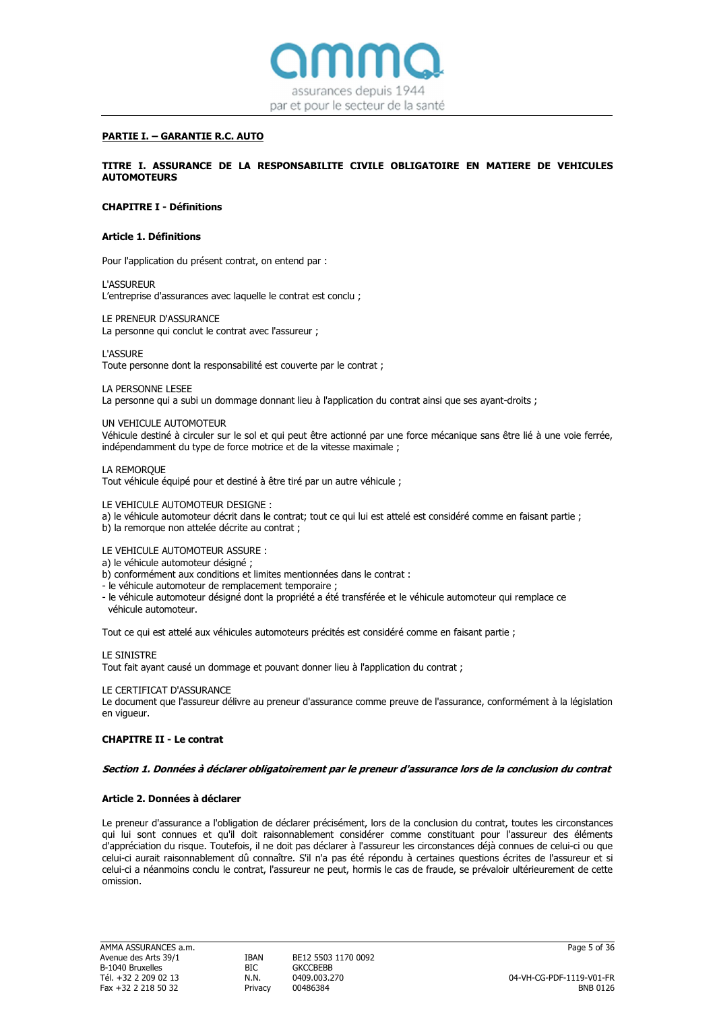

# PARTIE I. – GARANTIE R.C. AUTO

TITRE I. ASSURANCE DE LA RESPONSABILITE CIVILE OBLIGATOIRE EN MATIERE DE VEHICULES AUTOMOTEURS

# CHAPITRE I - Définitions

### Article 1. Définitions

Pour l'application du présent contrat, on entend par :

L'ASSUREUR L'entreprise d'assurances avec laquelle le contrat est conclu ;

#### LE PRENEUR D'ASSURANCE

La personne qui conclut le contrat avec l'assureur ;

L'ASSURE

Toute personne dont la responsabilité est couverte par le contrat ;

#### LA PERSONNE LESEE

La personne qui a subi un dommage donnant lieu à l'application du contrat ainsi que ses ayant-droits ;

#### UN VEHICULE AUTOMOTEUR

Véhicule destiné à circuler sur le sol et qui peut être actionné par une force mécanique sans être lié à une voie ferrée, indépendamment du type de force motrice et de la vitesse maximale ;

# LA REMORQUE

Tout véhicule équipé pour et destiné à être tiré par un autre véhicule ;

### LE VEHICULE AUTOMOTEUR DESIGNE :

- a) le véhicule automoteur décrit dans le contrat; tout ce qui lui est attelé est considéré comme en faisant partie ;
- b) la remorque non attelée décrite au contrat ;
- LE VEHICULE AUTOMOTEUR ASSURE :
- a) le véhicule automoteur désigné ;
- b) conformément aux conditions et limites mentionnées dans le contrat :
- le véhicule automoteur de remplacement temporaire ;
- le véhicule automoteur désigné dont la propriété a été transférée et le véhicule automoteur qui remplace ce véhicule automoteur.

Tout ce qui est attelé aux véhicules automoteurs précités est considéré comme en faisant partie ;

#### LE SINISTRE

Tout fait ayant causé un dommage et pouvant donner lieu à l'application du contrat ;

#### LE CERTIFICAT D'ASSURANCE

Le document que l'assureur délivre au preneur d'assurance comme preuve de l'assurance, conformément à la législation en vigueur.

### CHAPITRE II - Le contrat

#### Section 1. Données à déclarer obligatoirement par le preneur d'assurance lors de la conclusion du contrat

# Article 2. Données à déclarer

Le preneur d'assurance a l'obligation de déclarer précisément, lors de la conclusion du contrat, toutes les circonstances qui lui sont connues et qu'il doit raisonnablement considérer comme constituant pour l'assureur des éléments d'appréciation du risque. Toutefois, il ne doit pas déclarer à l'assureur les circonstances déjà connues de celui-ci ou que celui-ci aurait raisonnablement dû connaître. S'il n'a pas été répondu à certaines questions écrites de l'assureur et si celui-ci a néanmoins conclu le contrat, l'assureur ne peut, hormis le cas de fraude, se prévaloir ultérieurement de cette omission.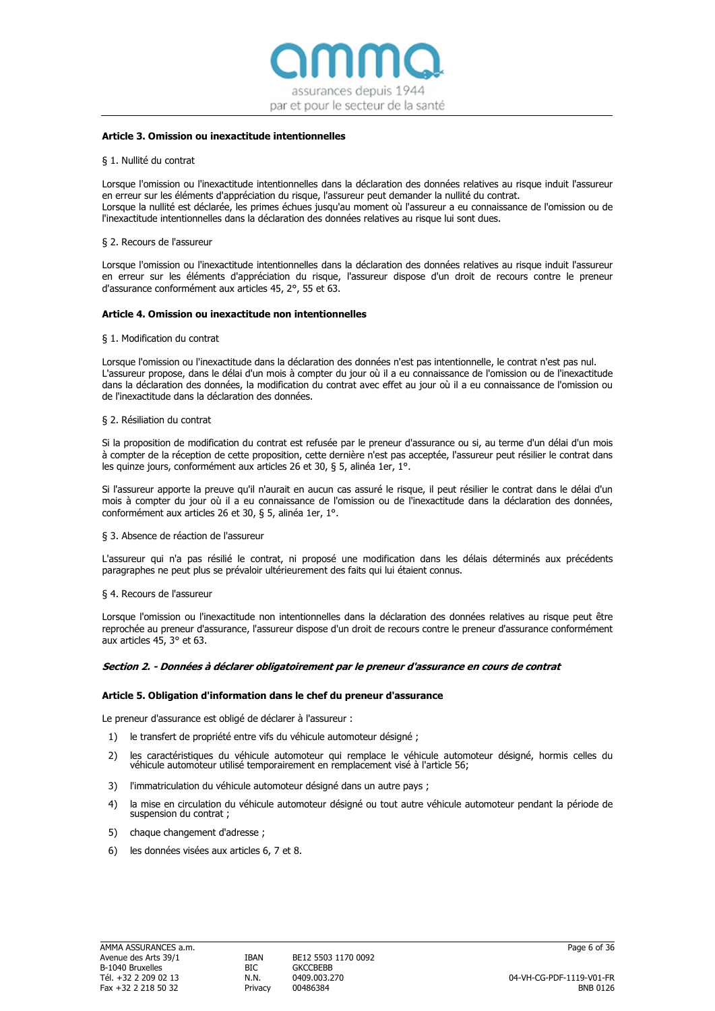

# Article 3. Omission ou inexactitude intentionnelles

#### § 1. Nullité du contrat

Lorsque l'omission ou l'inexactitude intentionnelles dans la déclaration des données relatives au risque induit l'assureur en erreur sur les éléments d'appréciation du risque, l'assureur peut demander la nullité du contrat. Lorsque la nullité est déclarée, les primes échues jusqu'au moment où l'assureur a eu connaissance de l'omission ou de l'inexactitude intentionnelles dans la déclaration des données relatives au risque lui sont dues.

#### § 2. Recours de l'assureur

Lorsque l'omission ou l'inexactitude intentionnelles dans la déclaration des données relatives au risque induit l'assureur en erreur sur les éléments d'appréciation du risque, l'assureur dispose d'un droit de recours contre le preneur d'assurance conformément aux articles 45, 2°, 55 et 63.

#### Article 4. Omission ou inexactitude non intentionnelles

#### § 1. Modification du contrat

Lorsque l'omission ou l'inexactitude dans la déclaration des données n'est pas intentionnelle, le contrat n'est pas nul. L'assureur propose, dans le délai d'un mois à compter du jour où il a eu connaissance de l'omission ou de l'inexactitude dans la déclaration des données, la modification du contrat avec effet au jour où il a eu connaissance de l'omission ou de l'inexactitude dans la déclaration des données.

#### § 2. Résiliation du contrat

Si la proposition de modification du contrat est refusée par le preneur d'assurance ou si, au terme d'un délai d'un mois à compter de la réception de cette proposition, cette dernière n'est pas acceptée, l'assureur peut résilier le contrat dans les quinze jours, conformément aux articles 26 et 30, § 5, alinéa 1er, 1°.

Si l'assureur apporte la preuve qu'il n'aurait en aucun cas assuré le risque, il peut résilier le contrat dans le délai d'un mois à compter du jour où il a eu connaissance de l'omission ou de l'inexactitude dans la déclaration des données, conformément aux articles 26 et 30, § 5, alinéa 1er, 1°.

#### § 3. Absence de réaction de l'assureur

L'assureur qui n'a pas résilié le contrat, ni proposé une modification dans les délais déterminés aux précédents paragraphes ne peut plus se prévaloir ultérieurement des faits qui lui étaient connus.

#### § 4. Recours de l'assureur

Lorsque l'omission ou l'inexactitude non intentionnelles dans la déclaration des données relatives au risque peut être reprochée au preneur d'assurance, l'assureur dispose d'un droit de recours contre le preneur d'assurance conformément aux articles 45, 3° et 63.

#### Section 2. - Données à déclarer obligatoirement par le preneur d'assurance en cours de contrat

# Article 5. Obligation d'information dans le chef du preneur d'assurance

Le preneur d'assurance est obligé de déclarer à l'assureur :

- 1) le transfert de propriété entre vifs du véhicule automoteur désigné ;
- 2) les caractéristiques du véhicule automoteur qui remplace le véhicule automoteur désigné, hormis celles du véhicule automoteur utilisé temporairement en remplacement visé à l'article 56;
- 3) l'immatriculation du véhicule automoteur désigné dans un autre pays ;
- 4) la mise en circulation du véhicule automoteur désigné ou tout autre véhicule automoteur pendant la période de suspension du contrat ;
- 5) chaque changement d'adresse ;
- 6) les données visées aux articles 6, 7 et 8.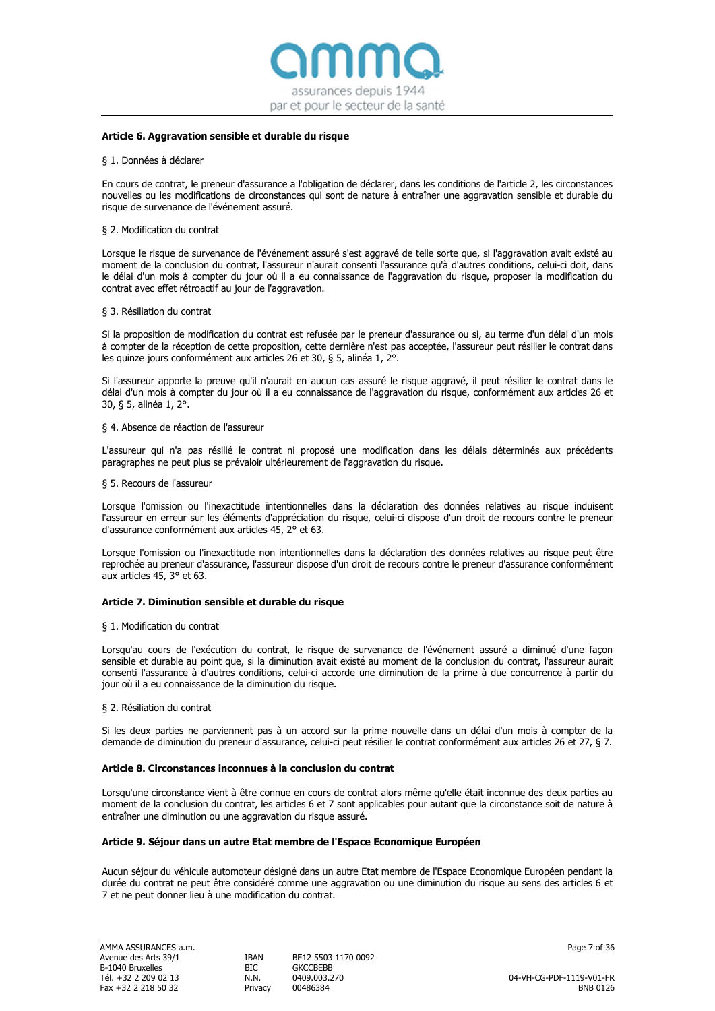

# Article 6. Aggravation sensible et durable du risque

#### § 1. Données à déclarer

En cours de contrat, le preneur d'assurance a l'obligation de déclarer, dans les conditions de l'article 2, les circonstances nouvelles ou les modifications de circonstances qui sont de nature à entraîner une aggravation sensible et durable du risque de survenance de l'événement assuré.

#### § 2. Modification du contrat

Lorsque le risque de survenance de l'événement assuré s'est aggravé de telle sorte que, si l'aggravation avait existé au moment de la conclusion du contrat, l'assureur n'aurait consenti l'assurance qu'à d'autres conditions, celui-ci doit, dans le délai d'un mois à compter du jour où il a eu connaissance de l'aggravation du risque, proposer la modification du contrat avec effet rétroactif au jour de l'aggravation.

#### § 3. Résiliation du contrat

Si la proposition de modification du contrat est refusée par le preneur d'assurance ou si, au terme d'un délai d'un mois à compter de la réception de cette proposition, cette dernière n'est pas acceptée, l'assureur peut résilier le contrat dans les quinze jours conformément aux articles 26 et 30, § 5, alinéa 1, 2°.

Si l'assureur apporte la preuve qu'il n'aurait en aucun cas assuré le risque aggravé, il peut résilier le contrat dans le délai d'un mois à compter du jour où il a eu connaissance de l'aggravation du risque, conformément aux articles 26 et 30, § 5, alinéa 1, 2°.

#### § 4. Absence de réaction de l'assureur

L'assureur qui n'a pas résilié le contrat ni proposé une modification dans les délais déterminés aux précédents paragraphes ne peut plus se prévaloir ultérieurement de l'aggravation du risque.

#### § 5. Recours de l'assureur

Lorsque l'omission ou l'inexactitude intentionnelles dans la déclaration des données relatives au risque induisent l'assureur en erreur sur les éléments d'appréciation du risque, celui-ci dispose d'un droit de recours contre le preneur d'assurance conformément aux articles 45, 2° et 63.

Lorsque l'omission ou l'inexactitude non intentionnelles dans la déclaration des données relatives au risque peut être reprochée au preneur d'assurance, l'assureur dispose d'un droit de recours contre le preneur d'assurance conformément aux articles 45, 3° et 63.

#### Article 7. Diminution sensible et durable du risque

### § 1. Modification du contrat

Lorsqu'au cours de l'exécution du contrat, le risque de survenance de l'événement assuré a diminué d'une façon sensible et durable au point que, si la diminution avait existé au moment de la conclusion du contrat, l'assureur aurait consenti l'assurance à d'autres conditions, celui-ci accorde une diminution de la prime à due concurrence à partir du jour où il a eu connaissance de la diminution du risque.

#### § 2. Résiliation du contrat

Si les deux parties ne parviennent pas à un accord sur la prime nouvelle dans un délai d'un mois à compter de la demande de diminution du preneur d'assurance, celui-ci peut résilier le contrat conformément aux articles 26 et 27, § 7.

#### Article 8. Circonstances inconnues à la conclusion du contrat

Lorsqu'une circonstance vient à être connue en cours de contrat alors même qu'elle était inconnue des deux parties au moment de la conclusion du contrat, les articles 6 et 7 sont applicables pour autant que la circonstance soit de nature à entraîner une diminution ou une aggravation du risque assuré.

#### Article 9. Séjour dans un autre Etat membre de l'Espace Economique Européen

Aucun séjour du véhicule automoteur désigné dans un autre Etat membre de l'Espace Economique Européen pendant la durée du contrat ne peut être considéré comme une aggravation ou une diminution du risque au sens des articles 6 et 7 et ne peut donner lieu à une modification du contrat.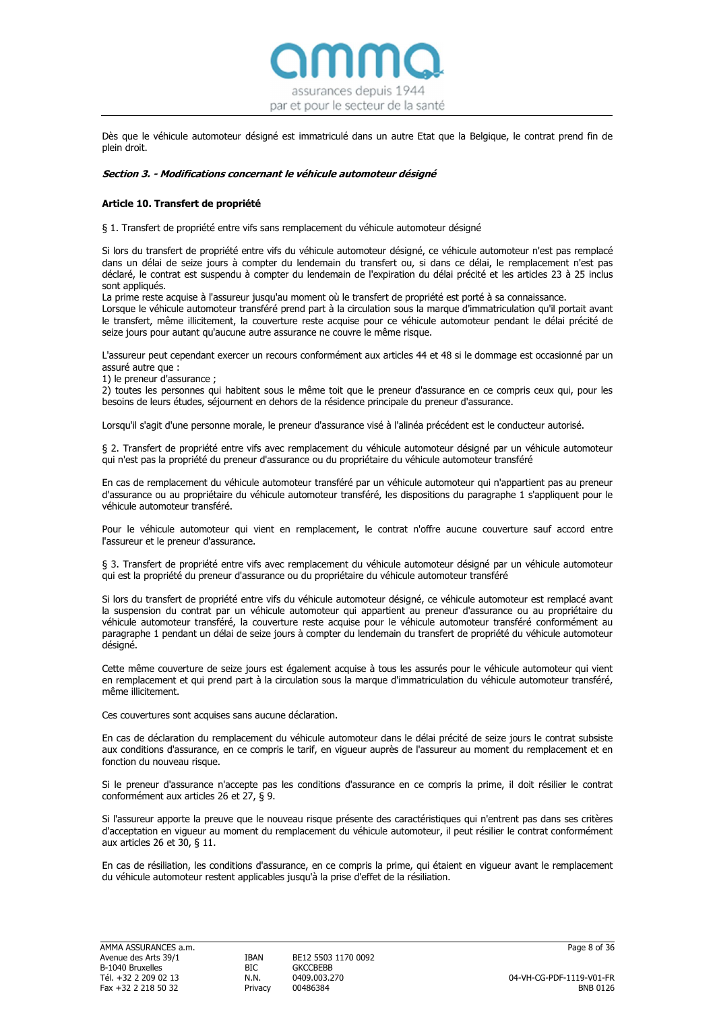

Dès que le véhicule automoteur désigné est immatriculé dans un autre Etat que la Belgique, le contrat prend fin de plein droit.

### Section 3. - Modifications concernant le véhicule automoteur désigné

# Article 10. Transfert de propriété

§ 1. Transfert de propriété entre vifs sans remplacement du véhicule automoteur désigné

Si lors du transfert de propriété entre vifs du véhicule automoteur désigné, ce véhicule automoteur n'est pas remplacé dans un délai de seize jours à compter du lendemain du transfert ou, si dans ce délai, le remplacement n'est pas déclaré, le contrat est suspendu à compter du lendemain de l'expiration du délai précité et les articles 23 à 25 inclus sont appliqués.

La prime reste acquise à l'assureur jusqu'au moment où le transfert de propriété est porté à sa connaissance.

Lorsque le véhicule automoteur transféré prend part à la circulation sous la marque d'immatriculation qu'il portait avant le transfert, même illicitement, la couverture reste acquise pour ce véhicule automoteur pendant le délai précité de seize jours pour autant qu'aucune autre assurance ne couvre le même risque.

L'assureur peut cependant exercer un recours conformément aux articles 44 et 48 si le dommage est occasionné par un assuré autre que :

1) le preneur d'assurance ;

2) toutes les personnes qui habitent sous le même toit que le preneur d'assurance en ce compris ceux qui, pour les besoins de leurs études, séjournent en dehors de la résidence principale du preneur d'assurance.

Lorsqu'il s'agit d'une personne morale, le preneur d'assurance visé à l'alinéa précédent est le conducteur autorisé.

§ 2. Transfert de propriété entre vifs avec remplacement du véhicule automoteur désigné par un véhicule automoteur qui n'est pas la propriété du preneur d'assurance ou du propriétaire du véhicule automoteur transféré

En cas de remplacement du véhicule automoteur transféré par un véhicule automoteur qui n'appartient pas au preneur d'assurance ou au propriétaire du véhicule automoteur transféré, les dispositions du paragraphe 1 s'appliquent pour le véhicule automoteur transféré.

Pour le véhicule automoteur qui vient en remplacement, le contrat n'offre aucune couverture sauf accord entre l'assureur et le preneur d'assurance.

§ 3. Transfert de propriété entre vifs avec remplacement du véhicule automoteur désigné par un véhicule automoteur qui est la propriété du preneur d'assurance ou du propriétaire du véhicule automoteur transféré

Si lors du transfert de propriété entre vifs du véhicule automoteur désigné, ce véhicule automoteur est remplacé avant la suspension du contrat par un véhicule automoteur qui appartient au preneur d'assurance ou au propriétaire du véhicule automoteur transféré, la couverture reste acquise pour le véhicule automoteur transféré conformément au paragraphe 1 pendant un délai de seize jours à compter du lendemain du transfert de propriété du véhicule automoteur désigné.

Cette même couverture de seize jours est également acquise à tous les assurés pour le véhicule automoteur qui vient en remplacement et qui prend part à la circulation sous la marque d'immatriculation du véhicule automoteur transféré, même illicitement.

Ces couvertures sont acquises sans aucune déclaration.

En cas de déclaration du remplacement du véhicule automoteur dans le délai précité de seize jours le contrat subsiste aux conditions d'assurance, en ce compris le tarif, en vigueur auprès de l'assureur au moment du remplacement et en fonction du nouveau risque.

Si le preneur d'assurance n'accepte pas les conditions d'assurance en ce compris la prime, il doit résilier le contrat conformément aux articles 26 et 27, § 9.

Si l'assureur apporte la preuve que le nouveau risque présente des caractéristiques qui n'entrent pas dans ses critères d'acceptation en vigueur au moment du remplacement du véhicule automoteur, il peut résilier le contrat conformément aux articles 26 et 30, § 11.

En cas de résiliation, les conditions d'assurance, en ce compris la prime, qui étaient en vigueur avant le remplacement du véhicule automoteur restent applicables jusqu'à la prise d'effet de la résiliation.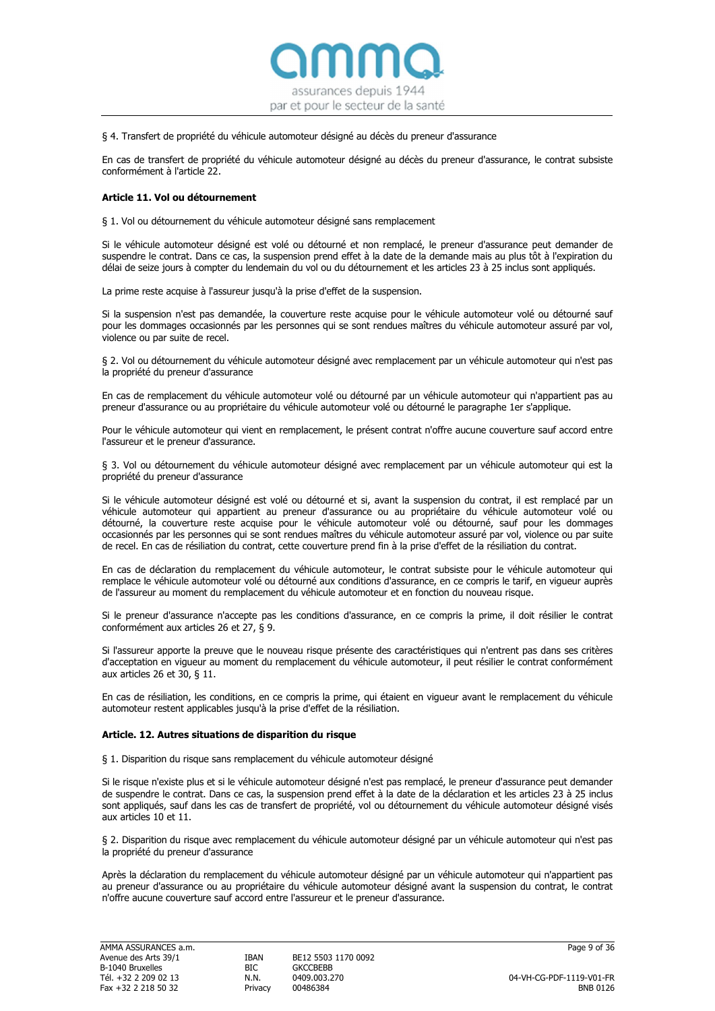

# § 4. Transfert de propriété du véhicule automoteur désigné au décès du preneur d'assurance

En cas de transfert de propriété du véhicule automoteur désigné au décès du preneur d'assurance, le contrat subsiste conformément à l'article 22.

# Article 11. Vol ou détournement

§ 1. Vol ou détournement du véhicule automoteur désigné sans remplacement

Si le véhicule automoteur désigné est volé ou détourné et non remplacé, le preneur d'assurance peut demander de suspendre le contrat. Dans ce cas, la suspension prend effet à la date de la demande mais au plus tôt à l'expiration du délai de seize jours à compter du lendemain du vol ou du détournement et les articles 23 à 25 inclus sont appliqués.

La prime reste acquise à l'assureur jusqu'à la prise d'effet de la suspension.

Si la suspension n'est pas demandée, la couverture reste acquise pour le véhicule automoteur volé ou détourné sauf pour les dommages occasionnés par les personnes qui se sont rendues maîtres du véhicule automoteur assuré par vol, violence ou par suite de recel.

§ 2. Vol ou détournement du véhicule automoteur désigné avec remplacement par un véhicule automoteur qui n'est pas la propriété du preneur d'assurance

En cas de remplacement du véhicule automoteur volé ou détourné par un véhicule automoteur qui n'appartient pas au preneur d'assurance ou au propriétaire du véhicule automoteur volé ou détourné le paragraphe 1er s'applique.

Pour le véhicule automoteur qui vient en remplacement, le présent contrat n'offre aucune couverture sauf accord entre l'assureur et le preneur d'assurance.

§ 3. Vol ou détournement du véhicule automoteur désigné avec remplacement par un véhicule automoteur qui est la propriété du preneur d'assurance

Si le véhicule automoteur désigné est volé ou détourné et si, avant la suspension du contrat, il est remplacé par un véhicule automoteur qui appartient au preneur d'assurance ou au propriétaire du véhicule automoteur volé ou détourné, la couverture reste acquise pour le véhicule automoteur volé ou détourné, sauf pour les dommages occasionnés par les personnes qui se sont rendues maîtres du véhicule automoteur assuré par vol, violence ou par suite de recel. En cas de résiliation du contrat, cette couverture prend fin à la prise d'effet de la résiliation du contrat.

En cas de déclaration du remplacement du véhicule automoteur, le contrat subsiste pour le véhicule automoteur qui remplace le véhicule automoteur volé ou détourné aux conditions d'assurance, en ce compris le tarif, en vigueur auprès de l'assureur au moment du remplacement du véhicule automoteur et en fonction du nouveau risque.

Si le preneur d'assurance n'accepte pas les conditions d'assurance, en ce compris la prime, il doit résilier le contrat conformément aux articles 26 et 27, § 9.

Si l'assureur apporte la preuve que le nouveau risque présente des caractéristiques qui n'entrent pas dans ses critères d'acceptation en vigueur au moment du remplacement du véhicule automoteur, il peut résilier le contrat conformément aux articles 26 et 30, § 11.

En cas de résiliation, les conditions, en ce compris la prime, qui étaient en vigueur avant le remplacement du véhicule automoteur restent applicables jusqu'à la prise d'effet de la résiliation.

# Article. 12. Autres situations de disparition du risque

§ 1. Disparition du risque sans remplacement du véhicule automoteur désigné

Si le risque n'existe plus et si le véhicule automoteur désigné n'est pas remplacé, le preneur d'assurance peut demander de suspendre le contrat. Dans ce cas, la suspension prend effet à la date de la déclaration et les articles 23 à 25 inclus sont appliqués, sauf dans les cas de transfert de propriété, vol ou détournement du véhicule automoteur désigné visés aux articles 10 et 11.

§ 2. Disparition du risque avec remplacement du véhicule automoteur désigné par un véhicule automoteur qui n'est pas la propriété du preneur d'assurance

Après la déclaration du remplacement du véhicule automoteur désigné par un véhicule automoteur qui n'appartient pas au preneur d'assurance ou au propriétaire du véhicule automoteur désigné avant la suspension du contrat, le contrat n'offre aucune couverture sauf accord entre l'assureur et le preneur d'assurance.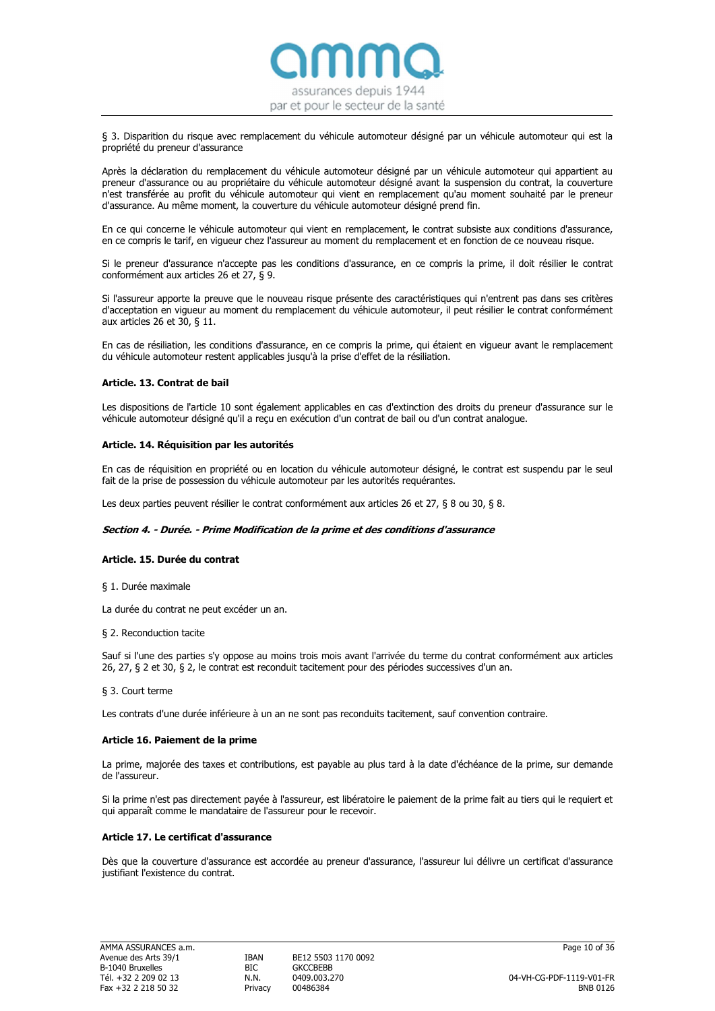

§ 3. Disparition du risque avec remplacement du véhicule automoteur désigné par un véhicule automoteur qui est la propriété du preneur d'assurance

Après la déclaration du remplacement du véhicule automoteur désigné par un véhicule automoteur qui appartient au preneur d'assurance ou au propriétaire du véhicule automoteur désigné avant la suspension du contrat, la couverture n'est transférée au profit du véhicule automoteur qui vient en remplacement qu'au moment souhaité par le preneur d'assurance. Au même moment, la couverture du véhicule automoteur désigné prend fin.

En ce qui concerne le véhicule automoteur qui vient en remplacement, le contrat subsiste aux conditions d'assurance, en ce compris le tarif, en vigueur chez l'assureur au moment du remplacement et en fonction de ce nouveau risque.

Si le preneur d'assurance n'accepte pas les conditions d'assurance, en ce compris la prime, il doit résilier le contrat conformément aux articles 26 et 27, § 9.

Si l'assureur apporte la preuve que le nouveau risque présente des caractéristiques qui n'entrent pas dans ses critères d'acceptation en vigueur au moment du remplacement du véhicule automoteur, il peut résilier le contrat conformément aux articles 26 et 30, § 11.

En cas de résiliation, les conditions d'assurance, en ce compris la prime, qui étaient en vigueur avant le remplacement du véhicule automoteur restent applicables jusqu'à la prise d'effet de la résiliation.

# Article. 13. Contrat de bail

Les dispositions de l'article 10 sont également applicables en cas d'extinction des droits du preneur d'assurance sur le véhicule automoteur désigné qu'il a reçu en exécution d'un contrat de bail ou d'un contrat analogue.

# Article. 14. Réquisition par les autorités

En cas de réquisition en propriété ou en location du véhicule automoteur désigné, le contrat est suspendu par le seul fait de la prise de possession du véhicule automoteur par les autorités requérantes.

Les deux parties peuvent résilier le contrat conformément aux articles 26 et 27, § 8 ou 30, § 8.

# Section 4. - Durée. - Prime Modification de la prime et des conditions d'assurance

### Article. 15. Durée du contrat

§ 1. Durée maximale

La durée du contrat ne peut excéder un an.

#### § 2. Reconduction tacite

Sauf si l'une des parties s'y oppose au moins trois mois avant l'arrivée du terme du contrat conformément aux articles 26, 27, § 2 et 30, § 2, le contrat est reconduit tacitement pour des périodes successives d'un an.

#### § 3. Court terme

Les contrats d'une durée inférieure à un an ne sont pas reconduits tacitement, sauf convention contraire.

#### Article 16. Paiement de la prime

La prime, majorée des taxes et contributions, est payable au plus tard à la date d'échéance de la prime, sur demande de l'assureur.

Si la prime n'est pas directement payée à l'assureur, est libératoire le paiement de la prime fait au tiers qui le requiert et qui apparaît comme le mandataire de l'assureur pour le recevoir.

# Article 17. Le certificat d'assurance

Dès que la couverture d'assurance est accordée au preneur d'assurance, l'assureur lui délivre un certificat d'assurance justifiant l'existence du contrat.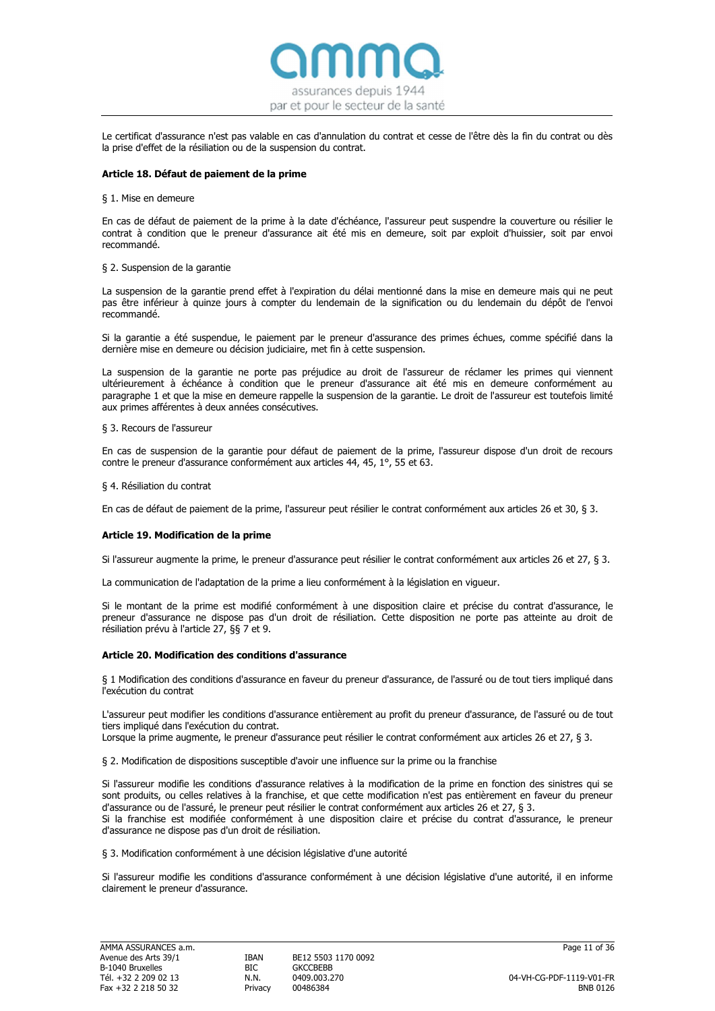

Le certificat d'assurance n'est pas valable en cas d'annulation du contrat et cesse de l'être dès la fin du contrat ou dès la prise d'effet de la résiliation ou de la suspension du contrat.

# Article 18. Défaut de paiement de la prime

#### § 1. Mise en demeure

En cas de défaut de paiement de la prime à la date d'échéance, l'assureur peut suspendre la couverture ou résilier le contrat à condition que le preneur d'assurance ait été mis en demeure, soit par exploit d'huissier, soit par envoi recommandé.

# § 2. Suspension de la garantie

La suspension de la garantie prend effet à l'expiration du délai mentionné dans la mise en demeure mais qui ne peut pas être inférieur à quinze jours à compter du lendemain de la signification ou du lendemain du dépôt de l'envoi recommandé.

Si la garantie a été suspendue, le paiement par le preneur d'assurance des primes échues, comme spécifié dans la dernière mise en demeure ou décision judiciaire, met fin à cette suspension.

La suspension de la garantie ne porte pas préjudice au droit de l'assureur de réclamer les primes qui viennent ultérieurement à échéance à condition que le preneur d'assurance ait été mis en demeure conformément au paragraphe 1 et que la mise en demeure rappelle la suspension de la garantie. Le droit de l'assureur est toutefois limité aux primes afférentes à deux années consécutives.

# § 3. Recours de l'assureur

En cas de suspension de la garantie pour défaut de paiement de la prime, l'assureur dispose d'un droit de recours contre le preneur d'assurance conformément aux articles 44, 45, 1°, 55 et 63.

# § 4. Résiliation du contrat

En cas de défaut de paiement de la prime, l'assureur peut résilier le contrat conformément aux articles 26 et 30, § 3.

# Article 19. Modification de la prime

Si l'assureur augmente la prime, le preneur d'assurance peut résilier le contrat conformément aux articles 26 et 27, § 3.

La communication de l'adaptation de la prime a lieu conformément à la législation en vigueur.

Si le montant de la prime est modifié conformément à une disposition claire et précise du contrat d'assurance, le preneur d'assurance ne dispose pas d'un droit de résiliation. Cette disposition ne porte pas atteinte au droit de résiliation prévu à l'article 27, §§ 7 et 9.

# Article 20. Modification des conditions d'assurance

d'assurance ne dispose pas d'un droit de résiliation.

§ 1 Modification des conditions d'assurance en faveur du preneur d'assurance, de l'assuré ou de tout tiers impliqué dans l'exécution du contrat

L'assureur peut modifier les conditions d'assurance entièrement au profit du preneur d'assurance, de l'assuré ou de tout tiers impliqué dans l'exécution du contrat.

Lorsque la prime augmente, le preneur d'assurance peut résilier le contrat conformément aux articles 26 et 27, § 3.

§ 2. Modification de dispositions susceptible d'avoir une influence sur la prime ou la franchise

Si l'assureur modifie les conditions d'assurance relatives à la modification de la prime en fonction des sinistres qui se sont produits, ou celles relatives à la franchise, et que cette modification n'est pas entièrement en faveur du preneur d'assurance ou de l'assuré, le preneur peut résilier le contrat conformément aux articles 26 et 27, § 3. Si la franchise est modifiée conformément à une disposition claire et précise du contrat d'assurance, le preneur

§ 3. Modification conformément à une décision législative d'une autorité

Si l'assureur modifie les conditions d'assurance conformément à une décision législative d'une autorité, il en informe clairement le preneur d'assurance.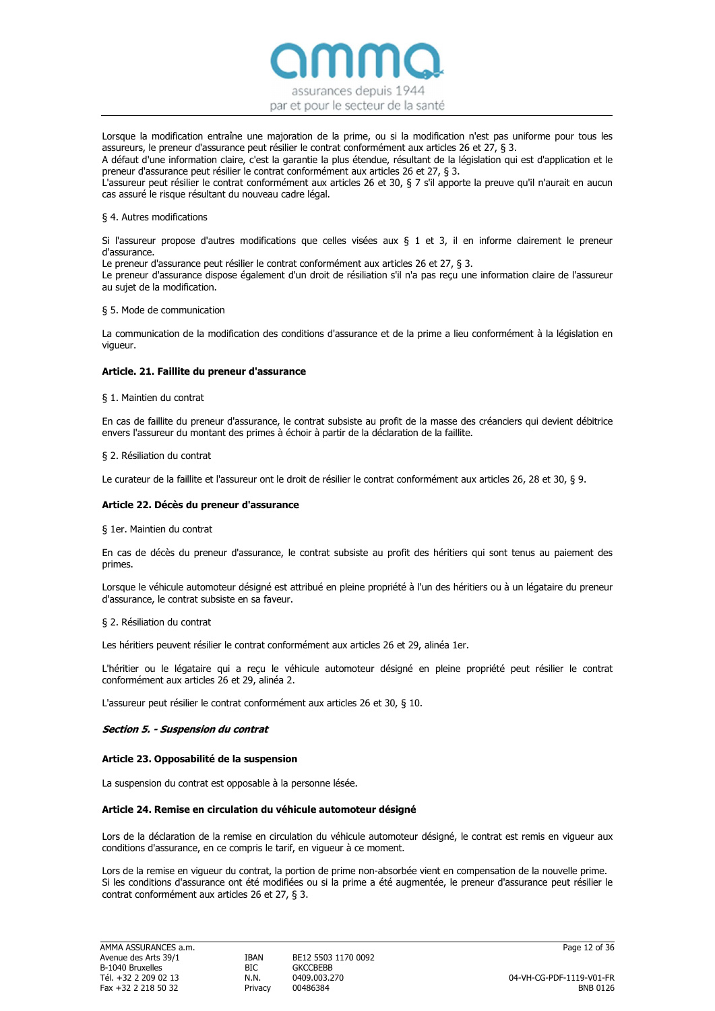

Lorsque la modification entraîne une majoration de la prime, ou si la modification n'est pas uniforme pour tous les assureurs, le preneur d'assurance peut résilier le contrat conformément aux articles 26 et 27, § 3.

A défaut d'une information claire, c'est la garantie la plus étendue, résultant de la législation qui est d'application et le preneur d'assurance peut résilier le contrat conformément aux articles 26 et 27, § 3.

L'assureur peut résilier le contrat conformément aux articles 26 et 30, § 7 s'il apporte la preuve qu'il n'aurait en aucun cas assuré le risque résultant du nouveau cadre légal.

#### § 4. Autres modifications

Si l'assureur propose d'autres modifications que celles visées aux § 1 et 3, il en informe clairement le preneur d'assurance.

Le preneur d'assurance peut résilier le contrat conformément aux articles 26 et 27, § 3.

Le preneur d'assurance dispose également d'un droit de résiliation s'il n'a pas reçu une information claire de l'assureur au sujet de la modification.

# § 5. Mode de communication

La communication de la modification des conditions d'assurance et de la prime a lieu conformément à la législation en vigueur.

# Article. 21. Faillite du preneur d'assurance

# § 1. Maintien du contrat

En cas de faillite du preneur d'assurance, le contrat subsiste au profit de la masse des créanciers qui devient débitrice envers l'assureur du montant des primes à échoir à partir de la déclaration de la faillite.

# § 2. Résiliation du contrat

Le curateur de la faillite et l'assureur ont le droit de résilier le contrat conformément aux articles 26, 28 et 30, § 9.

# Article 22. Décès du preneur d'assurance

§ 1er. Maintien du contrat

En cas de décès du preneur d'assurance, le contrat subsiste au profit des héritiers qui sont tenus au paiement des primes.

Lorsque le véhicule automoteur désigné est attribué en pleine propriété à l'un des héritiers ou à un légataire du preneur d'assurance, le contrat subsiste en sa faveur.

#### § 2. Résiliation du contrat

Les héritiers peuvent résilier le contrat conformément aux articles 26 et 29, alinéa 1er.

L'héritier ou le légataire qui a reçu le véhicule automoteur désigné en pleine propriété peut résilier le contrat conformément aux articles 26 et 29, alinéa 2.

L'assureur peut résilier le contrat conformément aux articles 26 et 30, § 10.

# Section 5. - Suspension du contrat

#### Article 23. Opposabilité de la suspension

La suspension du contrat est opposable à la personne lésée.

# Article 24. Remise en circulation du véhicule automoteur désigné

Lors de la déclaration de la remise en circulation du véhicule automoteur désigné, le contrat est remis en vigueur aux conditions d'assurance, en ce compris le tarif, en vigueur à ce moment.

Lors de la remise en vigueur du contrat, la portion de prime non-absorbée vient en compensation de la nouvelle prime. Si les conditions d'assurance ont été modifiées ou si la prime a été augmentée, le preneur d'assurance peut résilier le contrat conformément aux articles 26 et 27, § 3.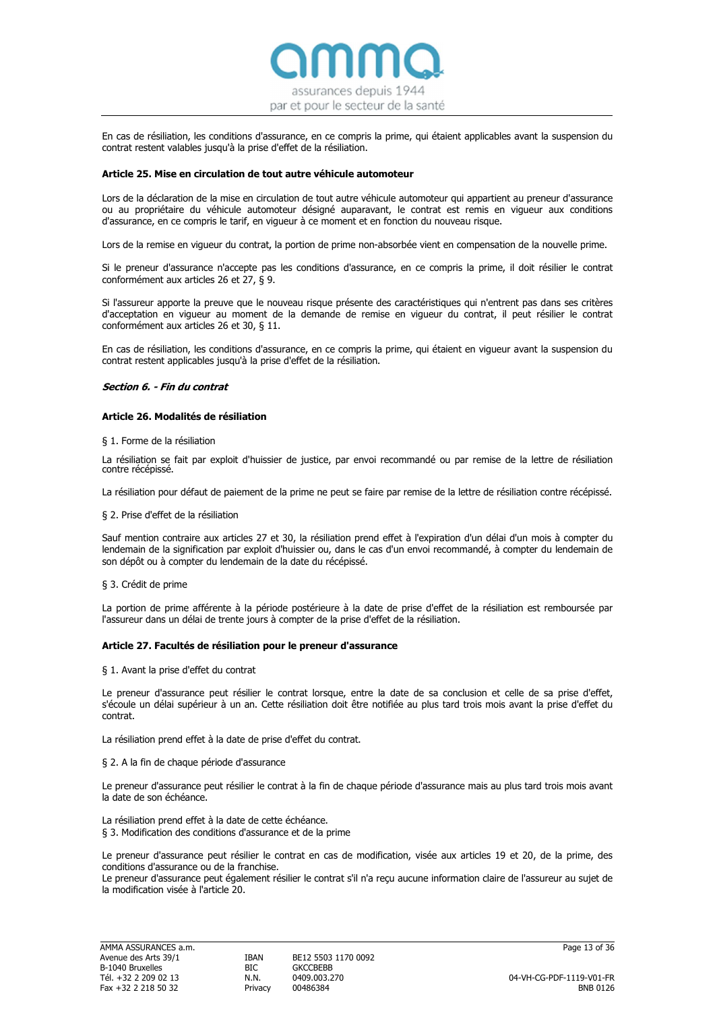

En cas de résiliation, les conditions d'assurance, en ce compris la prime, qui étaient applicables avant la suspension du contrat restent valables jusqu'à la prise d'effet de la résiliation.

#### Article 25. Mise en circulation de tout autre véhicule automoteur

Lors de la déclaration de la mise en circulation de tout autre véhicule automoteur qui appartient au preneur d'assurance ou au propriétaire du véhicule automoteur désigné auparavant, le contrat est remis en vigueur aux conditions d'assurance, en ce compris le tarif, en vigueur à ce moment et en fonction du nouveau risque.

Lors de la remise en vigueur du contrat, la portion de prime non-absorbée vient en compensation de la nouvelle prime.

Si le preneur d'assurance n'accepte pas les conditions d'assurance, en ce compris la prime, il doit résilier le contrat conformément aux articles 26 et 27, § 9.

Si l'assureur apporte la preuve que le nouveau risque présente des caractéristiques qui n'entrent pas dans ses critères d'acceptation en vigueur au moment de la demande de remise en vigueur du contrat, il peut résilier le contrat conformément aux articles 26 et 30, § 11.

En cas de résiliation, les conditions d'assurance, en ce compris la prime, qui étaient en vigueur avant la suspension du contrat restent applicables jusqu'à la prise d'effet de la résiliation.

# Section 6. - Fin du contrat

# Article 26. Modalités de résiliation

§ 1. Forme de la résiliation

La résiliation se fait par exploit d'huissier de justice, par envoi recommandé ou par remise de la lettre de résiliation contre récépissé.

La résiliation pour défaut de paiement de la prime ne peut se faire par remise de la lettre de résiliation contre récépissé.

#### § 2. Prise d'effet de la résiliation

Sauf mention contraire aux articles 27 et 30, la résiliation prend effet à l'expiration d'un délai d'un mois à compter du lendemain de la signification par exploit d'huissier ou, dans le cas d'un envoi recommandé, à compter du lendemain de son dépôt ou à compter du lendemain de la date du récépissé.

#### § 3. Crédit de prime

La portion de prime afférente à la période postérieure à la date de prise d'effet de la résiliation est remboursée par l'assureur dans un délai de trente jours à compter de la prise d'effet de la résiliation.

#### Article 27. Facultés de résiliation pour le preneur d'assurance

§ 1. Avant la prise d'effet du contrat

Le preneur d'assurance peut résilier le contrat lorsque, entre la date de sa conclusion et celle de sa prise d'effet, s'écoule un délai supérieur à un an. Cette résiliation doit être notifiée au plus tard trois mois avant la prise d'effet du contrat.

La résiliation prend effet à la date de prise d'effet du contrat.

#### § 2. A la fin de chaque période d'assurance

Le preneur d'assurance peut résilier le contrat à la fin de chaque période d'assurance mais au plus tard trois mois avant la date de son échéance.

La résiliation prend effet à la date de cette échéance. § 3. Modification des conditions d'assurance et de la prime

Le preneur d'assurance peut résilier le contrat en cas de modification, visée aux articles 19 et 20, de la prime, des conditions d'assurance ou de la franchise.

Le preneur d'assurance peut également résilier le contrat s'il n'a reçu aucune information claire de l'assureur au sujet de la modification visée à l'article 20.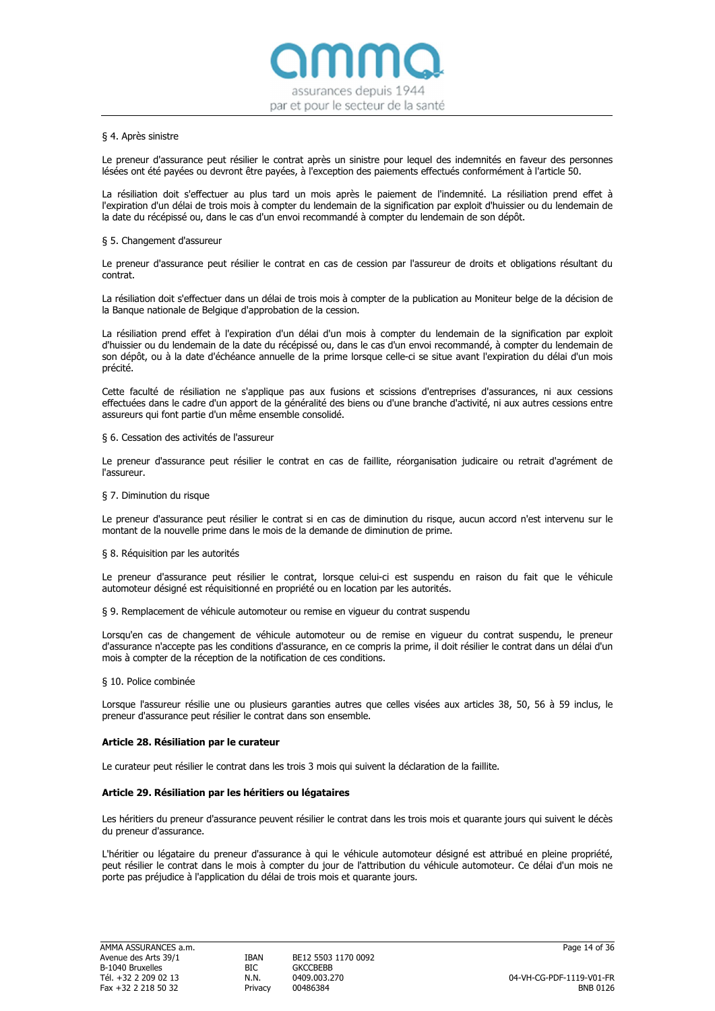

#### § 4. Après sinistre

Le preneur d'assurance peut résilier le contrat après un sinistre pour lequel des indemnités en faveur des personnes lésées ont été payées ou devront être payées, à l'exception des paiements effectués conformément à l'article 50.

La résiliation doit s'effectuer au plus tard un mois après le paiement de l'indemnité. La résiliation prend effet à l'expiration d'un délai de trois mois à compter du lendemain de la signification par exploit d'huissier ou du lendemain de la date du récépissé ou, dans le cas d'un envoi recommandé à compter du lendemain de son dépôt.

#### § 5. Changement d'assureur

Le preneur d'assurance peut résilier le contrat en cas de cession par l'assureur de droits et obligations résultant du contrat.

La résiliation doit s'effectuer dans un délai de trois mois à compter de la publication au Moniteur belge de la décision de la Banque nationale de Belgique d'approbation de la cession.

La résiliation prend effet à l'expiration d'un délai d'un mois à compter du lendemain de la signification par exploit d'huissier ou du lendemain de la date du récépissé ou, dans le cas d'un envoi recommandé, à compter du lendemain de son dépôt, ou à la date d'échéance annuelle de la prime lorsque celle-ci se situe avant l'expiration du délai d'un mois précité.

Cette faculté de résiliation ne s'applique pas aux fusions et scissions d'entreprises d'assurances, ni aux cessions effectuées dans le cadre d'un apport de la généralité des biens ou d'une branche d'activité, ni aux autres cessions entre assureurs qui font partie d'un même ensemble consolidé.

#### § 6. Cessation des activités de l'assureur

Le preneur d'assurance peut résilier le contrat en cas de faillite, réorganisation judicaire ou retrait d'agrément de l'assureur.

#### § 7. Diminution du risque

Le preneur d'assurance peut résilier le contrat si en cas de diminution du risque, aucun accord n'est intervenu sur le montant de la nouvelle prime dans le mois de la demande de diminution de prime.

#### § 8. Réquisition par les autorités

Le preneur d'assurance peut résilier le contrat, lorsque celui-ci est suspendu en raison du fait que le véhicule automoteur désigné est réquisitionné en propriété ou en location par les autorités.

§ 9. Remplacement de véhicule automoteur ou remise en vigueur du contrat suspendu

Lorsqu'en cas de changement de véhicule automoteur ou de remise en vigueur du contrat suspendu, le preneur d'assurance n'accepte pas les conditions d'assurance, en ce compris la prime, il doit résilier le contrat dans un délai d'un mois à compter de la réception de la notification de ces conditions.

#### § 10. Police combinée

Lorsque l'assureur résilie une ou plusieurs garanties autres que celles visées aux articles 38, 50, 56 à 59 inclus, le preneur d'assurance peut résilier le contrat dans son ensemble.

#### Article 28. Résiliation par le curateur

Le curateur peut résilier le contrat dans les trois 3 mois qui suivent la déclaration de la faillite.

#### Article 29. Résiliation par les héritiers ou légataires

Les héritiers du preneur d'assurance peuvent résilier le contrat dans les trois mois et quarante jours qui suivent le décès du preneur d'assurance.

L'héritier ou légataire du preneur d'assurance à qui le véhicule automoteur désigné est attribué en pleine propriété, peut résilier le contrat dans le mois à compter du jour de l'attribution du véhicule automoteur. Ce délai d'un mois ne porte pas préjudice à l'application du délai de trois mois et quarante jours.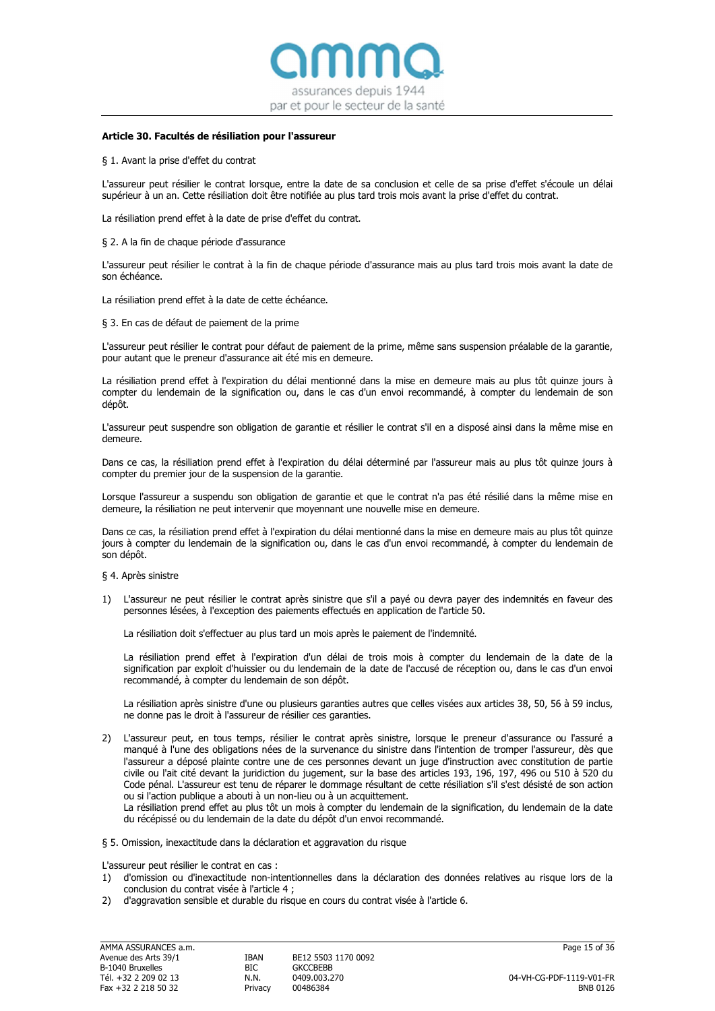

#### Article 30. Facultés de résiliation pour l'assureur

§ 1. Avant la prise d'effet du contrat

L'assureur peut résilier le contrat lorsque, entre la date de sa conclusion et celle de sa prise d'effet s'écoule un délai supérieur à un an. Cette résiliation doit être notifiée au plus tard trois mois avant la prise d'effet du contrat.

La résiliation prend effet à la date de prise d'effet du contrat.

§ 2. A la fin de chaque période d'assurance

L'assureur peut résilier le contrat à la fin de chaque période d'assurance mais au plus tard trois mois avant la date de son échéance.

La résiliation prend effet à la date de cette échéance.

§ 3. En cas de défaut de paiement de la prime

L'assureur peut résilier le contrat pour défaut de paiement de la prime, même sans suspension préalable de la garantie, pour autant que le preneur d'assurance ait été mis en demeure.

La résiliation prend effet à l'expiration du délai mentionné dans la mise en demeure mais au plus tôt quinze jours à compter du lendemain de la signification ou, dans le cas d'un envoi recommandé, à compter du lendemain de son dépôt.

L'assureur peut suspendre son obligation de garantie et résilier le contrat s'il en a disposé ainsi dans la même mise en demeure.

Dans ce cas, la résiliation prend effet à l'expiration du délai déterminé par l'assureur mais au plus tôt quinze jours à compter du premier jour de la suspension de la garantie.

Lorsque l'assureur a suspendu son obligation de garantie et que le contrat n'a pas été résilié dans la même mise en demeure, la résiliation ne peut intervenir que moyennant une nouvelle mise en demeure.

Dans ce cas, la résiliation prend effet à l'expiration du délai mentionné dans la mise en demeure mais au plus tôt quinze jours à compter du lendemain de la signification ou, dans le cas d'un envoi recommandé, à compter du lendemain de son dépôt.

§ 4. Après sinistre

1) L'assureur ne peut résilier le contrat après sinistre que s'il a payé ou devra payer des indemnités en faveur des personnes lésées, à l'exception des paiements effectués en application de l'article 50.

La résiliation doit s'effectuer au plus tard un mois après le paiement de l'indemnité.

La résiliation prend effet à l'expiration d'un délai de trois mois à compter du lendemain de la date de la signification par exploit d'huissier ou du lendemain de la date de l'accusé de réception ou, dans le cas d'un envoi recommandé, à compter du lendemain de son dépôt.

La résiliation après sinistre d'une ou plusieurs garanties autres que celles visées aux articles 38, 50, 56 à 59 inclus, ne donne pas le droit à l'assureur de résilier ces garanties.

2) L'assureur peut, en tous temps, résilier le contrat après sinistre, lorsque le preneur d'assurance ou l'assuré a manqué à l'une des obligations nées de la survenance du sinistre dans l'intention de tromper l'assureur, dès que l'assureur a déposé plainte contre une de ces personnes devant un juge d'instruction avec constitution de partie civile ou l'ait cité devant la juridiction du jugement, sur la base des articles 193, 196, 197, 496 ou 510 à 520 du Code pénal. L'assureur est tenu de réparer le dommage résultant de cette résiliation s'il s'est désisté de son action ou si l'action publique a abouti à un non-lieu ou à un acquittement.

La résiliation prend effet au plus tôt un mois à compter du lendemain de la signification, du lendemain de la date du récépissé ou du lendemain de la date du dépôt d'un envoi recommandé.

§ 5. Omission, inexactitude dans la déclaration et aggravation du risque

L'assureur peut résilier le contrat en cas :

- 1) d'omission ou d'inexactitude non-intentionnelles dans la déclaration des données relatives au risque lors de la conclusion du contrat visée à l'article 4 ;
- 2) d'aggravation sensible et durable du risque en cours du contrat visée à l'article 6.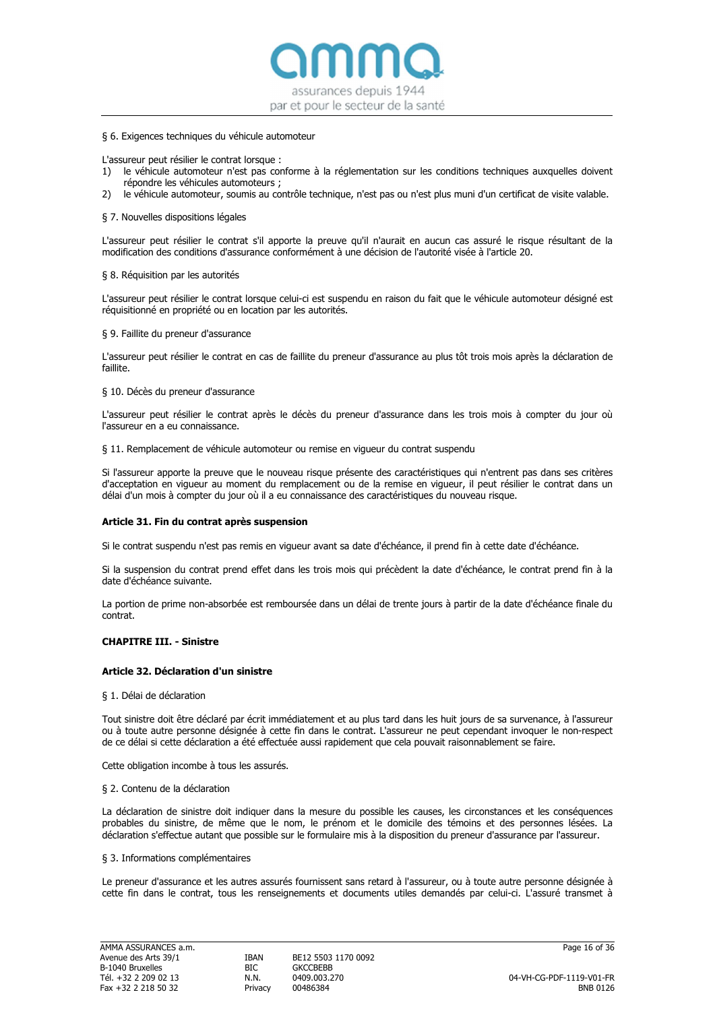

#### § 6. Exigences techniques du véhicule automoteur

L'assureur peut résilier le contrat lorsque :

- 1) le véhicule automoteur n'est pas conforme à la réglementation sur les conditions techniques auxquelles doivent répondre les véhicules automoteurs ;
- 2) le véhicule automoteur, soumis au contrôle technique, n'est pas ou n'est plus muni d'un certificat de visite valable.

#### § 7. Nouvelles dispositions légales

L'assureur peut résilier le contrat s'il apporte la preuve qu'il n'aurait en aucun cas assuré le risque résultant de la modification des conditions d'assurance conformément à une décision de l'autorité visée à l'article 20.

#### § 8. Réquisition par les autorités

L'assureur peut résilier le contrat lorsque celui-ci est suspendu en raison du fait que le véhicule automoteur désigné est réquisitionné en propriété ou en location par les autorités.

#### § 9. Faillite du preneur d'assurance

L'assureur peut résilier le contrat en cas de faillite du preneur d'assurance au plus tôt trois mois après la déclaration de faillite.

# § 10. Décès du preneur d'assurance

L'assureur peut résilier le contrat après le décès du preneur d'assurance dans les trois mois à compter du jour où l'assureur en a eu connaissance.

§ 11. Remplacement de véhicule automoteur ou remise en vigueur du contrat suspendu

Si l'assureur apporte la preuve que le nouveau risque présente des caractéristiques qui n'entrent pas dans ses critères d'acceptation en vigueur au moment du remplacement ou de la remise en vigueur, il peut résilier le contrat dans un délai d'un mois à compter du jour où il a eu connaissance des caractéristiques du nouveau risque.

#### Article 31. Fin du contrat après suspension

Si le contrat suspendu n'est pas remis en vigueur avant sa date d'échéance, il prend fin à cette date d'échéance.

Si la suspension du contrat prend effet dans les trois mois qui précèdent la date d'échéance, le contrat prend fin à la date d'échéance suivante.

La portion de prime non-absorbée est remboursée dans un délai de trente jours à partir de la date d'échéance finale du contrat.

#### CHAPITRE III. - Sinistra

#### Article 32. Déclaration d'un sinistre

§ 1. Délai de déclaration

Tout sinistre doit être déclaré par écrit immédiatement et au plus tard dans les huit jours de sa survenance, à l'assureur ou à toute autre personne désignée à cette fin dans le contrat. L'assureur ne peut cependant invoquer le non-respect de ce délai si cette déclaration a été effectuée aussi rapidement que cela pouvait raisonnablement se faire.

Cette obligation incombe à tous les assurés.

#### § 2. Contenu de la déclaration

La déclaration de sinistre doit indiquer dans la mesure du possible les causes, les circonstances et les conséquences probables du sinistre, de même que le nom, le prénom et le domicile des témoins et des personnes lésées. La déclaration s'effectue autant que possible sur le formulaire mis à la disposition du preneur d'assurance par l'assureur.

#### § 3. Informations complémentaires

Le preneur d'assurance et les autres assurés fournissent sans retard à l'assureur, ou à toute autre personne désignée à cette fin dans le contrat, tous les renseignements et documents utiles demandés par celui-ci. L'assuré transmet à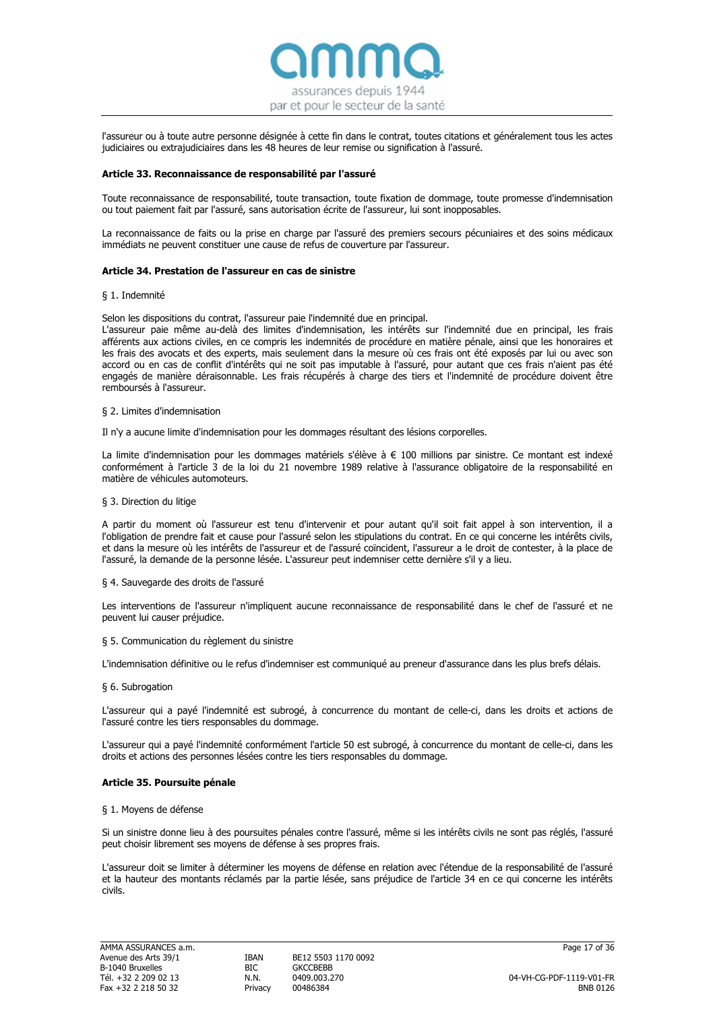

l'assureur ou à toute autre personne désignée à cette fin dans le contrat, toutes citations et généralement tous les actes judiciaires ou extrajudiciaires dans les 48 heures de leur remise ou signification à l'assuré.

### Article 33. Reconnaissance de responsabilité par l'assuré

Toute reconnaissance de responsabilité, toute transaction, toute fixation de dommage, toute promesse d'indemnisation ou tout paiement fait par l'assuré, sans autorisation écrite de l'assureur, lui sont inopposables.

La reconnaissance de faits ou la prise en charge par l'assuré des premiers secours pécuniaires et des soins médicaux immédiats ne peuvent constituer une cause de refus de couverture par l'assureur.

# Article 34. Prestation de l'assureur en cas de sinistre

#### § 1. Indemnité

Selon les dispositions du contrat, l'assureur paie l'indemnité due en principal.

L'assureur paie même au-delà des limites d'indemnisation, les intérêts sur l'indemnité due en principal, les frais afférents aux actions civiles, en ce compris les indemnités de procédure en matière pénale, ainsi que les honoraires et les frais des avocats et des experts, mais seulement dans la mesure où ces frais ont été exposés par lui ou avec son accord ou en cas de conflit d'intérêts qui ne soit pas imputable à l'assuré, pour autant que ces frais n'aient pas été engagés de manière déraisonnable. Les frais récupérés à charge des tiers et l'indemnité de procédure doivent être remboursés à l'assureur.

#### § 2. Limites d'indemnisation

Il n'y a aucune limite d'indemnisation pour les dommages résultant des lésions corporelles.

La limite d'indemnisation pour les dommages matériels s'élève à € 100 millions par sinistre. Ce montant est indexé conformément à l'article 3 de la loi du 21 novembre 1989 relative à l'assurance obligatoire de la responsabilité en matière de véhicules automoteurs.

#### § 3. Direction du litige

A partir du moment où l'assureur est tenu d'intervenir et pour autant qu'il soit fait appel à son intervention, il a l'obligation de prendre fait et cause pour l'assuré selon les stipulations du contrat. En ce qui concerne les intérêts civils, et dans la mesure où les intérêts de l'assureur et de l'assuré coïncident, l'assureur a le droit de contester, à la place de l'assuré, la demande de la personne lésée. L'assureur peut indemniser cette dernière s'il y a lieu.

#### § 4. Sauvegarde des droits de l'assuré

Les interventions de l'assureur n'impliquent aucune reconnaissance de responsabilité dans le chef de l'assuré et ne peuvent lui causer préjudice.

#### § 5. Communication du règlement du sinistre

L'indemnisation définitive ou le refus d'indemniser est communiqué au preneur d'assurance dans les plus brefs délais.

#### § 6. Subrogation

L'assureur qui a payé l'indemnité est subrogé, à concurrence du montant de celle-ci, dans les droits et actions de l'assuré contre les tiers responsables du dommage.

L'assureur qui a payé l'indemnité conformément l'article 50 est subrogé, à concurrence du montant de celle-ci, dans les droits et actions des personnes lésées contre les tiers responsables du dommage.

#### Article 35. Poursuite pénale

# § 1. Moyens de défense

Si un sinistre donne lieu à des poursuites pénales contre l'assuré, même si les intérêts civils ne sont pas réglés, l'assuré peut choisir librement ses moyens de défense à ses propres frais.

L'assureur doit se limiter à déterminer les moyens de défense en relation avec l'étendue de la responsabilité de l'assuré et la hauteur des montants réclamés par la partie lésée, sans préjudice de l'article 34 en ce qui concerne les intérêts civils.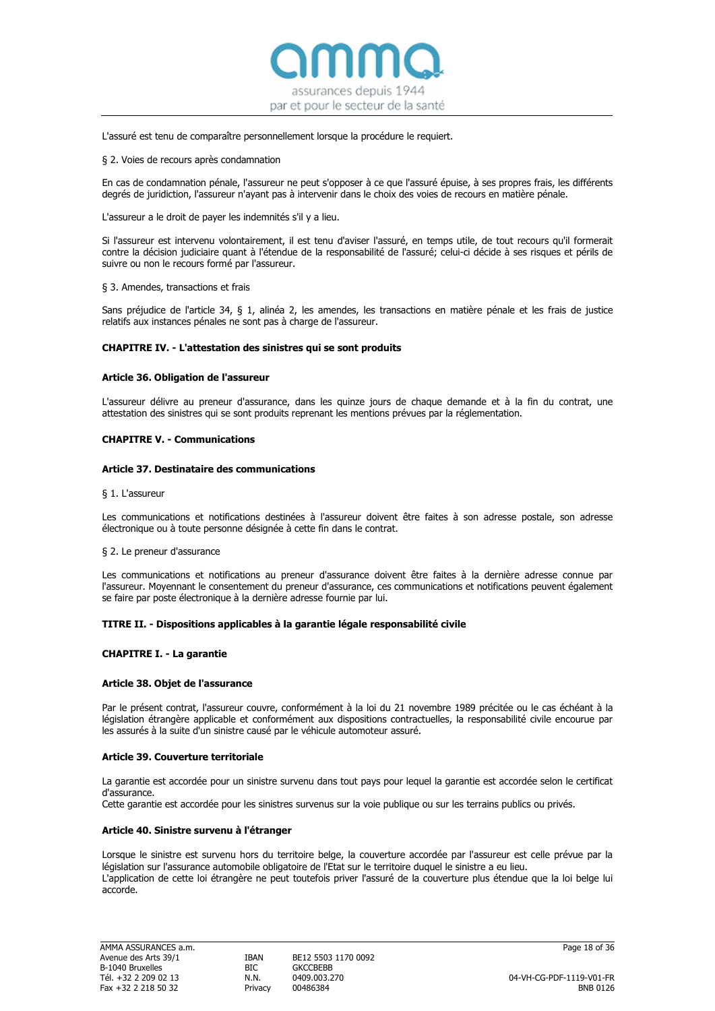

#### L'assuré est tenu de comparaître personnellement lorsque la procédure le requiert.

#### § 2. Voies de recours après condamnation

En cas de condamnation pénale, l'assureur ne peut s'opposer à ce que l'assuré épuise, à ses propres frais, les différents degrés de juridiction, l'assureur n'ayant pas à intervenir dans le choix des voies de recours en matière pénale.

L'assureur a le droit de payer les indemnités s'il y a lieu.

Si l'assureur est intervenu volontairement, il est tenu d'aviser l'assuré, en temps utile, de tout recours qu'il formerait contre la décision judiciaire quant à l'étendue de la responsabilité de l'assuré; celui-ci décide à ses risques et périls de suivre ou non le recours formé par l'assureur.

#### § 3. Amendes, transactions et frais

Sans préjudice de l'article 34, § 1, alinéa 2, les amendes, les transactions en matière pénale et les frais de justice relatifs aux instances pénales ne sont pas à charge de l'assureur.

#### CHAPITRE IV. - L'attestation des sinistres qui se sont produits

#### Article 36. Obligation de l'assureur

L'assureur délivre au preneur d'assurance, dans les quinze jours de chaque demande et à la fin du contrat, une attestation des sinistres qui se sont produits reprenant les mentions prévues par la réglementation.

# CHAPITRE V. - Communications

#### Article 37. Destinataire des communications

#### § 1. L'assureur

Les communications et notifications destinées à l'assureur doivent être faites à son adresse postale, son adresse électronique ou à toute personne désignée à cette fin dans le contrat.

#### § 2. Le preneur d'assurance

Les communications et notifications au preneur d'assurance doivent être faites à la dernière adresse connue par l'assureur. Moyennant le consentement du preneur d'assurance, ces communications et notifications peuvent également se faire par poste électronique à la dernière adresse fournie par lui.

#### TITRE II. - Dispositions applicables à la garantie légale responsabilité civile

#### CHAPITRE I. - La garantie

#### Article 38. Objet de l'assurance

Par le présent contrat, l'assureur couvre, conformément à la loi du 21 novembre 1989 précitée ou le cas échéant à la législation étrangère applicable et conformément aux dispositions contractuelles, la responsabilité civile encourue par les assurés à la suite d'un sinistre causé par le véhicule automoteur assuré.

#### Article 39. Couverture territoriale

La garantie est accordée pour un sinistre survenu dans tout pays pour lequel la garantie est accordée selon le certificat d'assurance.

Cette garantie est accordée pour les sinistres survenus sur la voie publique ou sur les terrains publics ou privés.

#### Article 40. Sinistre survenu à l'étranger

Lorsque le sinistre est survenu hors du territoire belge, la couverture accordée par l'assureur est celle prévue par la législation sur l'assurance automobile obligatoire de l'Etat sur le territoire duquel le sinistre a eu lieu. L'application de cette loi étrangère ne peut toutefois priver l'assuré de la couverture plus étendue que la loi belge lui accorde.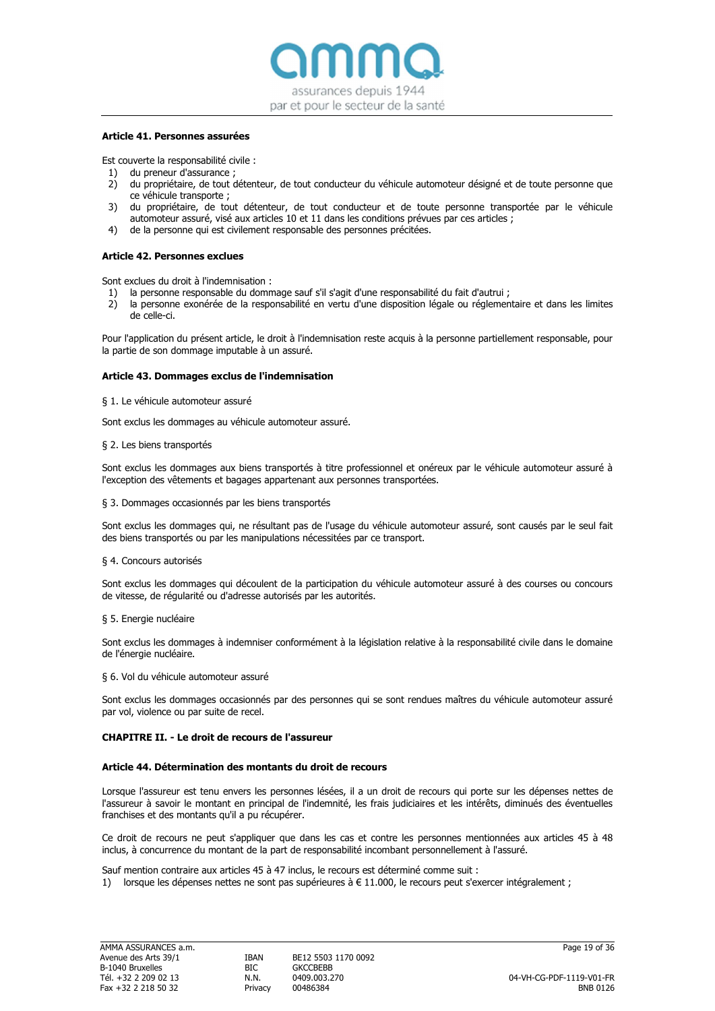

#### Article 41. Personnes assurées

Est couverte la responsabilité civile :

- 1) du preneur d'assurance ;
- 2) du propriétaire, de tout détenteur, de tout conducteur du véhicule automoteur désigné et de toute personne que ce véhicule transporte ;
- 3) du propriétaire, de tout détenteur, de tout conducteur et de toute personne transportée par le véhicule automoteur assuré, visé aux articles 10 et 11 dans les conditions prévues par ces articles ;
- 4) de la personne qui est civilement responsable des personnes précitées.

### Article 42. Personnes exclues

Sont exclues du droit à l'indemnisation :

- 1) la personne responsable du dommage sauf s'il s'agit d'une responsabilité du fait d'autrui ;
- 2) la personne exonérée de la responsabilité en vertu d'une disposition légale ou réglementaire et dans les limites de celle-ci.

Pour l'application du présent article, le droit à l'indemnisation reste acquis à la personne partiellement responsable, pour la partie de son dommage imputable à un assuré.

#### Article 43. Dommages exclus de l'indemnisation

§ 1. Le véhicule automoteur assuré

Sont exclus les dommages au véhicule automoteur assuré.

#### § 2. Les biens transportés

Sont exclus les dommages aux biens transportés à titre professionnel et onéreux par le véhicule automoteur assuré à l'exception des vêtements et bagages appartenant aux personnes transportées.

#### § 3. Dommages occasionnés par les biens transportés

Sont exclus les dommages qui, ne résultant pas de l'usage du véhicule automoteur assuré, sont causés par le seul fait des biens transportés ou par les manipulations nécessitées par ce transport.

#### § 4. Concours autorisés

Sont exclus les dommages qui découlent de la participation du véhicule automoteur assuré à des courses ou concours de vitesse, de régularité ou d'adresse autorisés par les autorités.

#### § 5. Energie nucléaire

Sont exclus les dommages à indemniser conformément à la législation relative à la responsabilité civile dans le domaine de l'énergie nucléaire.

§ 6. Vol du véhicule automoteur assuré

Sont exclus les dommages occasionnés par des personnes qui se sont rendues maîtres du véhicule automoteur assuré par vol, violence ou par suite de recel.

#### CHAPITRE II. - Le droit de recours de l'assureur

#### Article 44. Détermination des montants du droit de recours

Lorsque l'assureur est tenu envers les personnes lésées, il a un droit de recours qui porte sur les dépenses nettes de l'assureur à savoir le montant en principal de l'indemnité, les frais judiciaires et les intérêts, diminués des éventuelles franchises et des montants qu'il a pu récupérer.

Ce droit de recours ne peut s'appliquer que dans les cas et contre les personnes mentionnées aux articles 45 à 48 inclus, à concurrence du montant de la part de responsabilité incombant personnellement à l'assuré.

Sauf mention contraire aux articles 45 à 47 inclus, le recours est déterminé comme suit :

1) lorsque les dépenses nettes ne sont pas supérieures à  $\in$  11.000, le recours peut s'exercer intégralement ;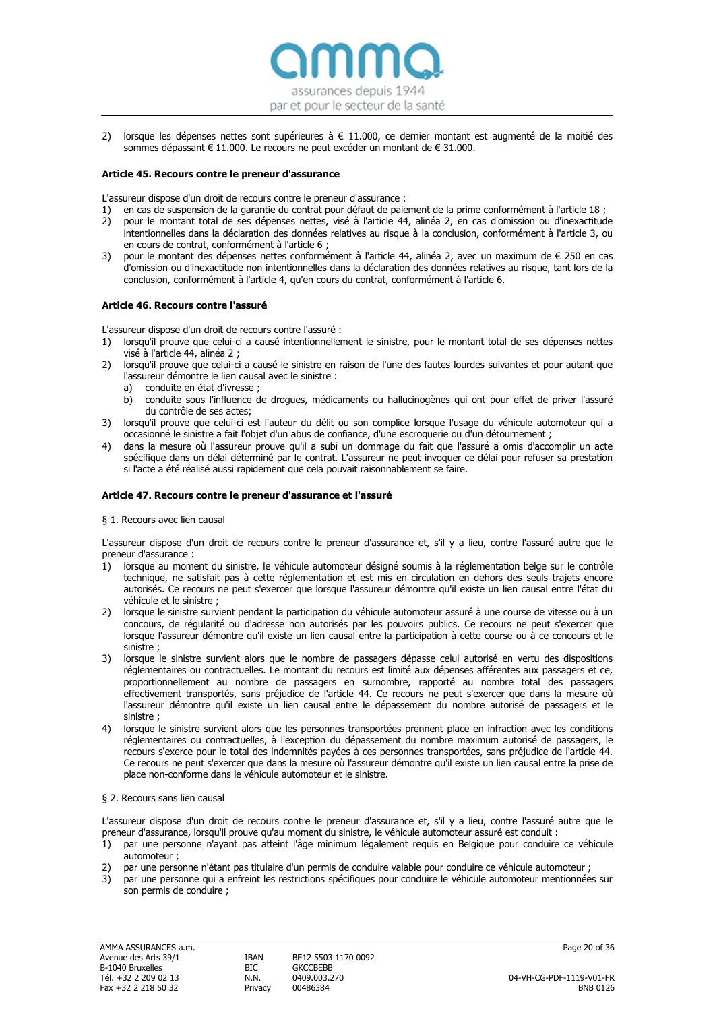

2) lorsque les dépenses nettes sont supérieures à € 11.000, ce dernier montant est augmenté de la moitié des sommes dépassant € 11.000. Le recours ne peut excéder un montant de € 31.000.

### Article 45. Recours contre le preneur d'assurance

L'assureur dispose d'un droit de recours contre le preneur d'assurance :

- 1) en cas de suspension de la garantie du contrat pour défaut de paiement de la prime conformément à l'article 18 ;
- 2) pour le montant total de ses dépenses nettes, visé à l'article 44, alinéa 2, en cas d'omission ou d'inexactitude intentionnelles dans la déclaration des données relatives au risque à la conclusion, conformément à l'article 3, ou en cours de contrat, conformément à l'article 6 ;
- 3) pour le montant des dépenses nettes conformément à l'article 44, alinéa 2, avec un maximum de € 250 en cas d'omission ou d'inexactitude non intentionnelles dans la déclaration des données relatives au risque, tant lors de la conclusion, conformément à l'article 4, qu'en cours du contrat, conformément à l'article 6.

# Article 46. Recours contre l'assuré

L'assureur dispose d'un droit de recours contre l'assuré :

- 1) lorsqu'il prouve que celui-ci a causé intentionnellement le sinistre, pour le montant total de ses dépenses nettes visé à l'article 44, alinéa 2 ;
- 2) lorsqu'il prouve que celui-ci a causé le sinistre en raison de l'une des fautes lourdes suivantes et pour autant que l'assureur démontre le lien causal avec le sinistre :
	- a) conduite en état d'ivresse ;
	- b) conduite sous l'influence de drogues, médicaments ou hallucinogènes qui ont pour effet de priver l'assuré du contrôle de ses actes;
- 3) lorsqu'il prouve que celui-ci est l'auteur du délit ou son complice lorsque l'usage du véhicule automoteur qui a occasionné le sinistre a fait l'objet d'un abus de confiance, d'une escroquerie ou d'un détournement ;
- 4) dans la mesure où l'assureur prouve qu'il a subi un dommage du fait que l'assuré a omis d'accomplir un acte spécifique dans un délai déterminé par le contrat. L'assureur ne peut invoquer ce délai pour refuser sa prestation si l'acte a été réalisé aussi rapidement que cela pouvait raisonnablement se faire.

# Article 47. Recours contre le preneur d'assurance et l'assuré

§ 1. Recours avec lien causal

L'assureur dispose d'un droit de recours contre le preneur d'assurance et, s'il y a lieu, contre l'assuré autre que le preneur d'assurance :

- 1) lorsque au moment du sinistre, le véhicule automoteur désigné soumis à la réglementation belge sur le contrôle technique, ne satisfait pas à cette réglementation et est mis en circulation en dehors des seuls trajets encore autorisés. Ce recours ne peut s'exercer que lorsque l'assureur démontre qu'il existe un lien causal entre l'état du véhicule et le sinistre ;
- 2) lorsque le sinistre survient pendant la participation du véhicule automoteur assuré à une course de vitesse ou à un concours, de régularité ou d'adresse non autorisés par les pouvoirs publics. Ce recours ne peut s'exercer que lorsque l'assureur démontre qu'il existe un lien causal entre la participation à cette course ou à ce concours et le sinistre ;
- 3) lorsque le sinistre survient alors que le nombre de passagers dépasse celui autorisé en vertu des dispositions réglementaires ou contractuelles. Le montant du recours est limité aux dépenses afférentes aux passagers et ce, proportionnellement au nombre de passagers en surnombre, rapporté au nombre total des passagers effectivement transportés, sans préjudice de l'article 44. Ce recours ne peut s'exercer que dans la mesure où l'assureur démontre qu'il existe un lien causal entre le dépassement du nombre autorisé de passagers et le sinistre ;
- 4) lorsque le sinistre survient alors que les personnes transportées prennent place en infraction avec les conditions réglementaires ou contractuelles, à l'exception du dépassement du nombre maximum autorisé de passagers, le recours s'exerce pour le total des indemnités payées à ces personnes transportées, sans préjudice de l'article 44. Ce recours ne peut s'exercer que dans la mesure où l'assureur démontre qu'il existe un lien causal entre la prise de place non-conforme dans le véhicule automoteur et le sinistre.

#### § 2. Recours sans lien causal

L'assureur dispose d'un droit de recours contre le preneur d'assurance et, s'il y a lieu, contre l'assuré autre que le preneur d'assurance, lorsqu'il prouve qu'au moment du sinistre, le véhicule automoteur assuré est conduit :

- 1) par une personne n'ayant pas atteint l'âge minimum légalement requis en Belgique pour conduire ce véhicule automoteur ;
- 2) par une personne n'étant pas titulaire d'un permis de conduire valable pour conduire ce véhicule automoteur ;
- 3) par une personne qui a enfreint les restrictions spécifiques pour conduire le véhicule automoteur mentionnées sur son permis de conduire ;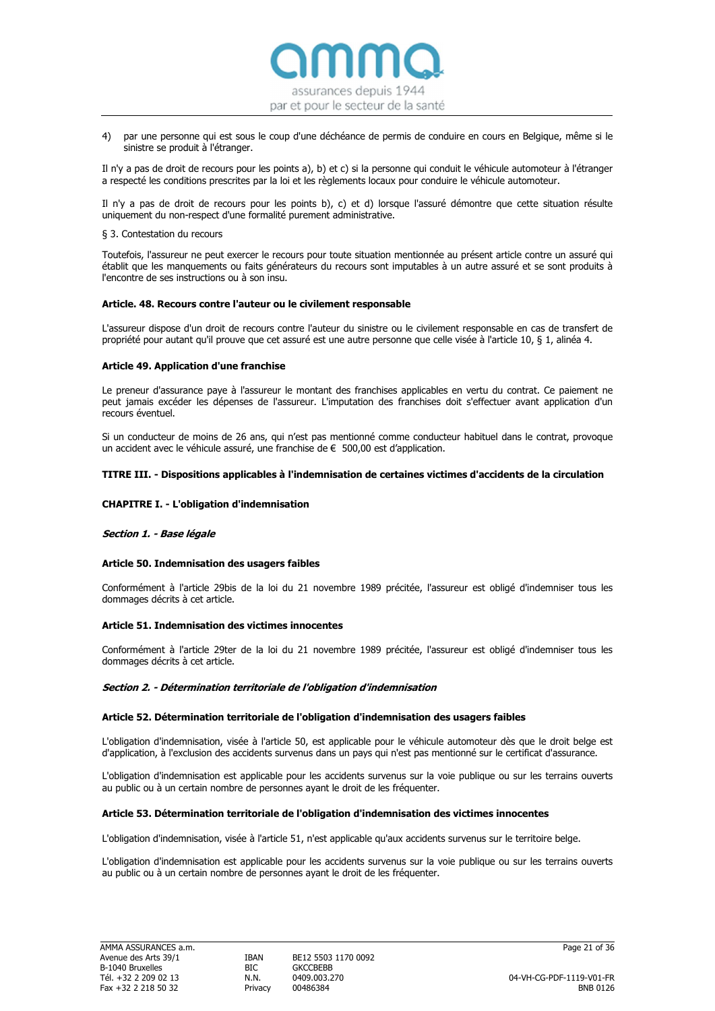

4) par une personne qui est sous le coup d'une déchéance de permis de conduire en cours en Belgique, même si le sinistre se produit à l'étranger.

Il n'y a pas de droit de recours pour les points a), b) et c) si la personne qui conduit le véhicule automoteur à l'étranger a respecté les conditions prescrites par la loi et les règlements locaux pour conduire le véhicule automoteur.

Il n'y a pas de droit de recours pour les points b), c) et d) lorsque l'assuré démontre que cette situation résulte uniquement du non-respect d'une formalité purement administrative.

# § 3. Contestation du recours

Toutefois, l'assureur ne peut exercer le recours pour toute situation mentionnée au présent article contre un assuré qui établit que les manquements ou faits générateurs du recours sont imputables à un autre assuré et se sont produits à l'encontre de ses instructions ou à son insu.

#### Article. 48. Recours contre l'auteur ou le civilement responsable

L'assureur dispose d'un droit de recours contre l'auteur du sinistre ou le civilement responsable en cas de transfert de propriété pour autant qu'il prouve que cet assuré est une autre personne que celle visée à l'article 10, § 1, alinéa 4.

# Article 49. Application d'une franchise

Le preneur d'assurance paye à l'assureur le montant des franchises applicables en vertu du contrat. Ce paiement ne peut jamais excéder les dépenses de l'assureur. L'imputation des franchises doit s'effectuer avant application d'un recours éventuel.

Si un conducteur de moins de 26 ans, qui n'est pas mentionné comme conducteur habituel dans le contrat, provoque un accident avec le véhicule assuré, une franchise de € 500,00 est d'application.

# TITRE III. - Dispositions applicables à l'indemnisation de certaines victimes d'accidents de la circulation

# CHAPITRE I. - L'obligation d'indemnisation

# Section 1. - Base légale

#### Article 50. Indemnisation des usagers faibles

Conformément à l'article 29bis de la loi du 21 novembre 1989 précitée, l'assureur est obligé d'indemniser tous les dommages décrits à cet article.

#### Article 51. Indemnisation des victimes innocentes

Conformément à l'article 29ter de la loi du 21 novembre 1989 précitée, l'assureur est obligé d'indemniser tous les dommages décrits à cet article.

### Section 2. - Détermination territoriale de l'obligation d'indemnisation

#### Article 52. Détermination territoriale de l'obligation d'indemnisation des usagers faibles

L'obligation d'indemnisation, visée à l'article 50, est applicable pour le véhicule automoteur dès que le droit belge est d'application, à l'exclusion des accidents survenus dans un pays qui n'est pas mentionné sur le certificat d'assurance.

L'obligation d'indemnisation est applicable pour les accidents survenus sur la voie publique ou sur les terrains ouverts au public ou à un certain nombre de personnes ayant le droit de les fréquenter.

#### Article 53. Détermination territoriale de l'obligation d'indemnisation des victimes innocentes

L'obligation d'indemnisation, visée à l'article 51, n'est applicable qu'aux accidents survenus sur le territoire belge.

L'obligation d'indemnisation est applicable pour les accidents survenus sur la voie publique ou sur les terrains ouverts au public ou à un certain nombre de personnes ayant le droit de les fréquenter.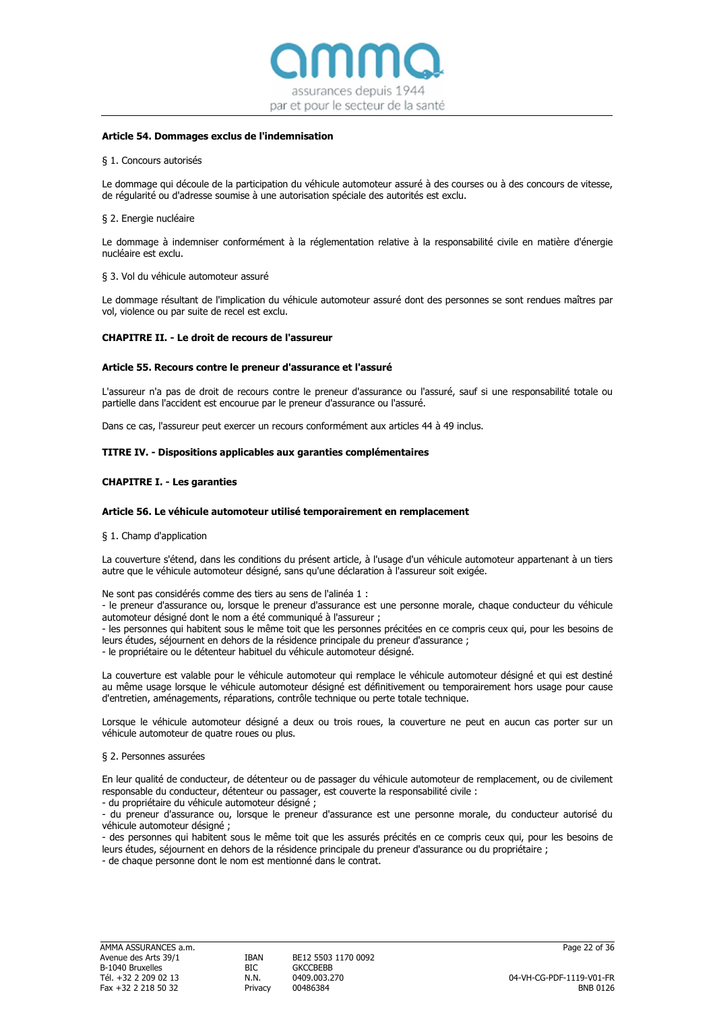

### Article 54. Dommages exclus de l'indemnisation

#### § 1. Concours autorisés

Le dommage qui découle de la participation du véhicule automoteur assuré à des courses ou à des concours de vitesse, de régularité ou d'adresse soumise à une autorisation spéciale des autorités est exclu.

#### § 2. Energie nucléaire

Le dommage à indemniser conformément à la réglementation relative à la responsabilité civile en matière d'énergie nucléaire est exclu.

#### § 3. Vol du véhicule automoteur assuré

Le dommage résultant de l'implication du véhicule automoteur assuré dont des personnes se sont rendues maîtres par vol, violence ou par suite de recel est exclu.

#### CHAPITRE II. - Le droit de recours de l'assureur

#### Article 55. Recours contre le preneur d'assurance et l'assuré

L'assureur n'a pas de droit de recours contre le preneur d'assurance ou l'assuré, sauf si une responsabilité totale ou partielle dans l'accident est encourue par le preneur d'assurance ou l'assuré.

Dans ce cas, l'assureur peut exercer un recours conformément aux articles 44 à 49 inclus.

### TITRE IV. - Dispositions applicables aux garanties complémentaires

#### CHAPITRE I. - Les garanties

#### Article 56. Le véhicule automoteur utilisé temporairement en remplacement

#### § 1. Champ d'application

La couverture s'étend, dans les conditions du présent article, à l'usage d'un véhicule automoteur appartenant à un tiers autre que le véhicule automoteur désigné, sans qu'une déclaration à l'assureur soit exigée.

Ne sont pas considérés comme des tiers au sens de l'alinéa 1 :

- le preneur d'assurance ou, lorsque le preneur d'assurance est une personne morale, chaque conducteur du véhicule automoteur désigné dont le nom a été communiqué à l'assureur ;

- les personnes qui habitent sous le même toit que les personnes précitées en ce compris ceux qui, pour les besoins de leurs études, séjournent en dehors de la résidence principale du preneur d'assurance ;

- le propriétaire ou le détenteur habituel du véhicule automoteur désigné.

La couverture est valable pour le véhicule automoteur qui remplace le véhicule automoteur désigné et qui est destiné au même usage lorsque le véhicule automoteur désigné est définitivement ou temporairement hors usage pour cause d'entretien, aménagements, réparations, contrôle technique ou perte totale technique.

Lorsque le véhicule automoteur désigné a deux ou trois roues, la couverture ne peut en aucun cas porter sur un véhicule automoteur de quatre roues ou plus.

#### § 2. Personnes assurées

En leur qualité de conducteur, de détenteur ou de passager du véhicule automoteur de remplacement, ou de civilement responsable du conducteur, détenteur ou passager, est couverte la responsabilité civile :

- du propriétaire du véhicule automoteur désigné ;

- du preneur d'assurance ou, lorsque le preneur d'assurance est une personne morale, du conducteur autorisé du véhicule automoteur désigné ;

- des personnes qui habitent sous le même toit que les assurés précités en ce compris ceux qui, pour les besoins de leurs études, séjournent en dehors de la résidence principale du preneur d'assurance ou du propriétaire ;

- de chaque personne dont le nom est mentionné dans le contrat.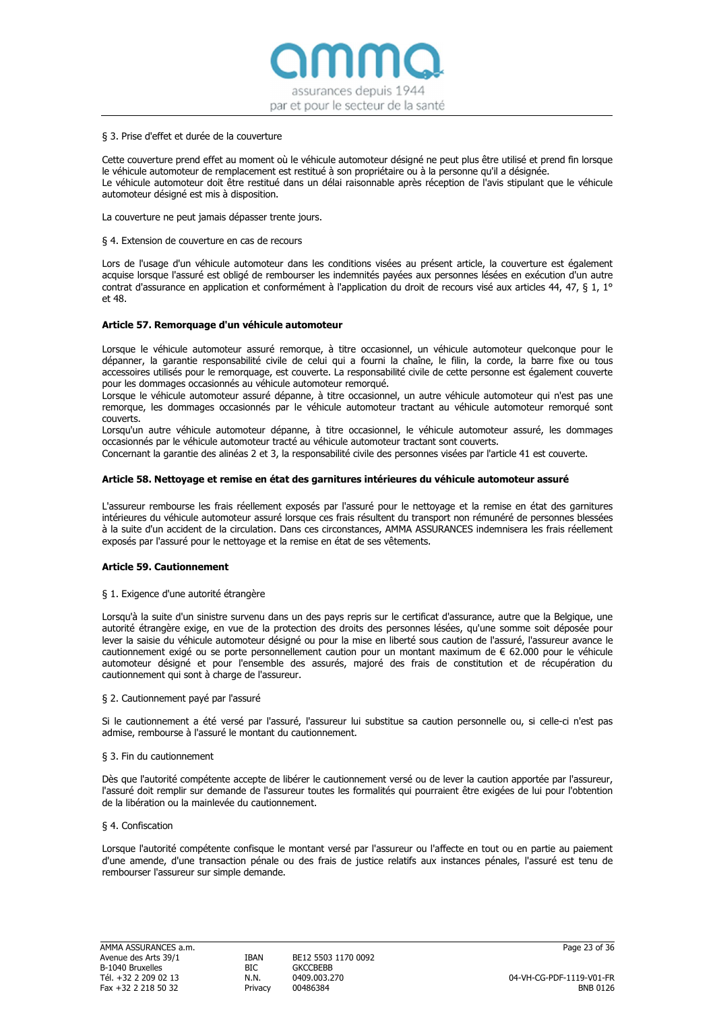assurances depuis 1944 par et pour le secteur de la santé

#### § 3. Prise d'effet et durée de la couverture

Cette couverture prend effet au moment où le véhicule automoteur désigné ne peut plus être utilisé et prend fin lorsque le véhicule automoteur de remplacement est restitué à son propriétaire ou à la personne qu'il a désignée. Le véhicule automoteur doit être restitué dans un délai raisonnable après réception de l'avis stipulant que le véhicule automoteur désigné est mis à disposition.

La couverture ne peut jamais dépasser trente jours.

#### § 4. Extension de couverture en cas de recours

Lors de l'usage d'un véhicule automoteur dans les conditions visées au présent article, la couverture est également acquise lorsque l'assuré est obligé de rembourser les indemnités payées aux personnes lésées en exécution d'un autre contrat d'assurance en application et conformément à l'application du droit de recours visé aux articles 44, 47, § 1, 1° et 48.

#### Article 57. Remorquage d'un véhicule automoteur

Lorsque le véhicule automoteur assuré remorque, à titre occasionnel, un véhicule automoteur quelconque pour le dépanner, la garantie responsabilité civile de celui qui a fourni la chaîne, le filin, la corde, la barre fixe ou tous accessoires utilisés pour le remorquage, est couverte. La responsabilité civile de cette personne est également couverte pour les dommages occasionnés au véhicule automoteur remorqué.

Lorsque le véhicule automoteur assuré dépanne, à titre occasionnel, un autre véhicule automoteur qui n'est pas une remorque, les dommages occasionnés par le véhicule automoteur tractant au véhicule automoteur remorqué sont couverts.

Lorsqu'un autre véhicule automoteur dépanne, à titre occasionnel, le véhicule automoteur assuré, les dommages occasionnés par le véhicule automoteur tracté au véhicule automoteur tractant sont couverts.

Concernant la garantie des alinéas 2 et 3, la responsabilité civile des personnes visées par l'article 41 est couverte.

#### Article 58. Nettoyage et remise en état des garnitures intérieures du véhicule automoteur assuré

L'assureur rembourse les frais réellement exposés par l'assuré pour le nettoyage et la remise en état des garnitures intérieures du véhicule automoteur assuré lorsque ces frais résultent du transport non rémunéré de personnes blessées à la suite d'un accident de la circulation. Dans ces circonstances, AMMA ASSURANCES indemnisera les frais réellement exposés par l'assuré pour le nettoyage et la remise en état de ses vêtements.

# Article 59. Cautionnement

#### § 1. Exigence d'une autorité étrangère

Lorsqu'à la suite d'un sinistre survenu dans un des pays repris sur le certificat d'assurance, autre que la Belgique, une autorité étrangère exige, en vue de la protection des droits des personnes lésées, qu'une somme soit déposée pour lever la saisie du véhicule automoteur désigné ou pour la mise en liberté sous caution de l'assuré, l'assureur avance le cautionnement exigé ou se porte personnellement caution pour un montant maximum de € 62.000 pour le véhicule automoteur désigné et pour l'ensemble des assurés, majoré des frais de constitution et de récupération du cautionnement qui sont à charge de l'assureur.

# § 2. Cautionnement payé par l'assuré

Si le cautionnement a été versé par l'assuré, l'assureur lui substitue sa caution personnelle ou, si celle-ci n'est pas admise, rembourse à l'assuré le montant du cautionnement.

#### § 3. Fin du cautionnement

Dès que l'autorité compétente accepte de libérer le cautionnement versé ou de lever la caution apportée par l'assureur, l'assuré doit remplir sur demande de l'assureur toutes les formalités qui pourraient être exigées de lui pour l'obtention de la libération ou la mainlevée du cautionnement.

#### § 4. Confiscation

Lorsque l'autorité compétente confisque le montant versé par l'assureur ou l'affecte en tout ou en partie au paiement d'une amende, d'une transaction pénale ou des frais de justice relatifs aux instances pénales, l'assuré est tenu de rembourser l'assureur sur simple demande.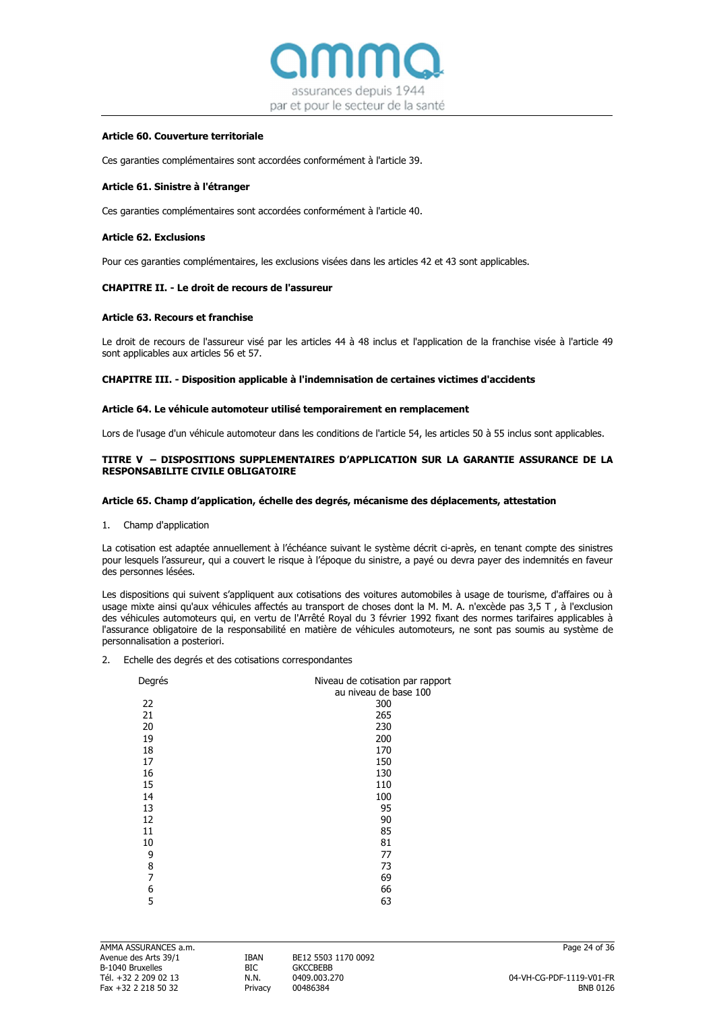

# Article 60. Couverture territoriale

Ces garanties complémentaires sont accordées conformément à l'article 39.

#### Article 61. Sinistre à l'étranger

Ces garanties complémentaires sont accordées conformément à l'article 40.

#### Article 62. Exclusions

Pour ces garanties complémentaires, les exclusions visées dans les articles 42 et 43 sont applicables.

#### CHAPITRE II. - Le droit de recours de l'assureur

#### Article 63. Recours et franchise

Le droit de recours de l'assureur visé par les articles 44 à 48 inclus et l'application de la franchise visée à l'article 49 sont applicables aux articles 56 et 57.

#### CHAPITRE III. - Disposition applicable à l'indemnisation de certaines victimes d'accidents

#### Article 64. Le véhicule automoteur utilisé temporairement en remplacement

Lors de l'usage d'un véhicule automoteur dans les conditions de l'article 54, les articles 50 à 55 inclus sont applicables.

# TITRE V – DISPOSITIONS SUPPLEMENTAIRES D'APPLICATION SUR LA GARANTIE ASSURANCE DE LA RESPONSABILITE CIVILE OBLIGATOIRE

#### Article 65. Champ d'application, échelle des degrés, mécanisme des déplacements, attestation

1. Champ d'application

La cotisation est adaptée annuellement à l'échéance suivant le système décrit ci-après, en tenant compte des sinistres pour lesquels l'assureur, qui a couvert le risque à l'époque du sinistre, a payé ou devra payer des indemnités en faveur des personnes lésées.

Les dispositions qui suivent s'appliquent aux cotisations des voitures automobiles à usage de tourisme, d'affaires ou à usage mixte ainsi qu'aux véhicules affectés au transport de choses dont la M. M. A. n'excède pas 3,5 T , à l'exclusion des véhicules automoteurs qui, en vertu de l'Arrêté Royal du 3 février 1992 fixant des normes tarifaires applicables à l'assurance obligatoire de la responsabilité en matière de véhicules automoteurs, ne sont pas soumis au système de personnalisation a posteriori.

2. Echelle des degrés et des cotisations correspondantes

| Degrés | Niveau de cotisation par rapport<br>au niveau de base 100 |
|--------|-----------------------------------------------------------|
| 22     | 300                                                       |
| 21     | 265                                                       |
| 20     | 230                                                       |
| 19     | 200                                                       |
| 18     | 170                                                       |
| 17     | 150                                                       |
| 16     | 130                                                       |
| 15     | 110                                                       |
| 14     | 100                                                       |
| 13     | 95                                                        |
| 12     | 90                                                        |
| 11     | 85                                                        |
| 10     | 81                                                        |
| 9      | 77                                                        |
| 8      | 73                                                        |
| 7      | 69                                                        |
| 6      | 66                                                        |
| 5      | 63                                                        |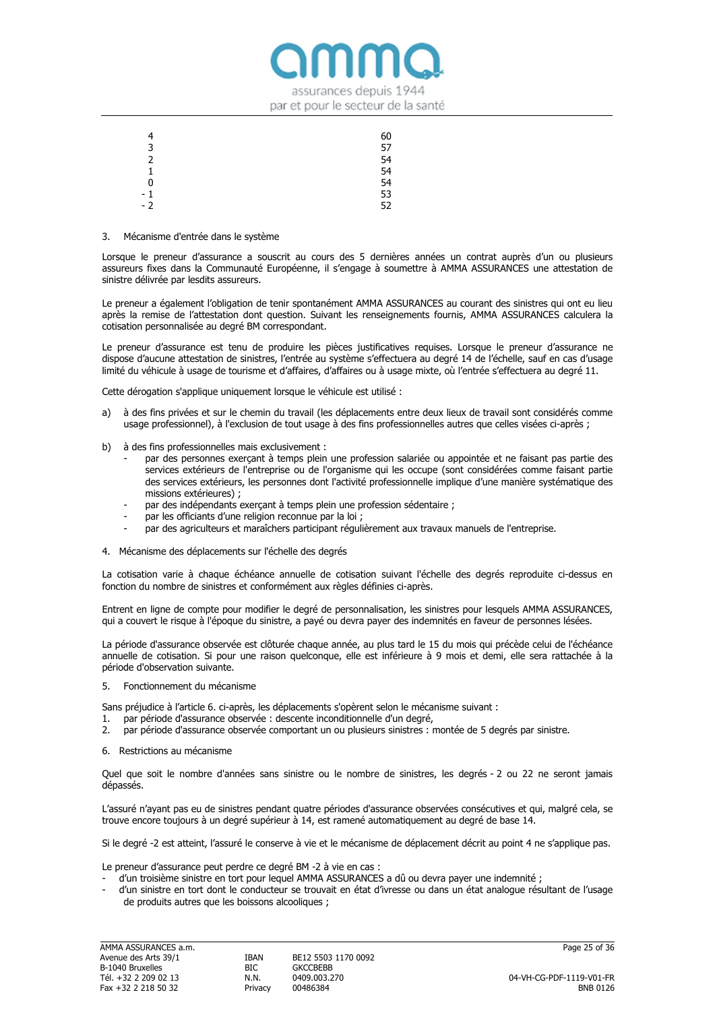

| 4    | 60 |
|------|----|
| 3    | 57 |
| 2    | 54 |
| 1    | 54 |
| 0    | 54 |
| - 1  | 53 |
| $-2$ | 52 |

#### 3. Mécanisme d'entrée dans le système

Lorsque le preneur d'assurance a souscrit au cours des 5 dernières années un contrat auprès d'un ou plusieurs assureurs fixes dans la Communauté Européenne, il s'engage à soumettre à AMMA ASSURANCES une attestation de sinistre délivrée par lesdits assureurs.

Le preneur a également l'obligation de tenir spontanément AMMA ASSURANCES au courant des sinistres qui ont eu lieu après la remise de l'attestation dont question. Suivant les renseignements fournis, AMMA ASSURANCES calculera la cotisation personnalisée au degré BM correspondant.

Le preneur d'assurance est tenu de produire les pièces justificatives requises. Lorsque le preneur d'assurance ne dispose d'aucune attestation de sinistres, l'entrée au système s'effectuera au degré 14 de l'échelle, sauf en cas d'usage limité du véhicule à usage de tourisme et d'affaires, d'affaires ou à usage mixte, où l'entrée s'effectuera au degré 11.

Cette dérogation s'applique uniquement lorsque le véhicule est utilisé :

- a) à des fins privées et sur le chemin du travail (les déplacements entre deux lieux de travail sont considérés comme usage professionnel), à l'exclusion de tout usage à des fins professionnelles autres que celles visées ci-après ;
- b) à des fins professionnelles mais exclusivement :
	- par des personnes exercant à temps plein une profession salariée ou appointée et ne faisant pas partie des services extérieurs de l'entreprise ou de l'organisme qui les occupe (sont considérées comme faisant partie des services extérieurs, les personnes dont l'activité professionnelle implique d'une manière systématique des missions extérieures) ;
	- par des indépendants exerçant à temps plein une profession sédentaire ;
	- par les officiants d'une religion reconnue par la loi ;
	- par des agriculteurs et maraîchers participant régulièrement aux travaux manuels de l'entreprise.
- 4. Mécanisme des déplacements sur l'échelle des degrés

La cotisation varie à chaque échéance annuelle de cotisation suivant l'échelle des degrés reproduite ci-dessus en fonction du nombre de sinistres et conformément aux règles définies ci‐après.

Entrent en ligne de compte pour modifier le degré de personnalisation, les sinistres pour lesquels AMMA ASSURANCES, qui a couvert le risque à l'époque du sinistre, a payé ou devra payer des indemnités en faveur de personnes lésées.

La période d'assurance observée est clôturée chaque année, au plus tard le 15 du mois qui précède celui de l'échéance annuelle de cotisation. Si pour une raison quelconque, elle est inférieure à 9 mois et demi, elle sera rattachée à la période d'observation suivante.

5. Fonctionnement du mécanisme

Sans préjudice à l'article 6. ci-après, les déplacements s'opèrent selon le mécanisme suivant :

- 1. par période d'assurance observée : descente inconditionnelle d'un degré,
- 2. par période d'assurance observée comportant un ou plusieurs sinistres : montée de 5 degrés par sinistre.
- 6. Restrictions au mécanisme

Quel que soit le nombre d'années sans sinistre ou le nombre de sinistres, les degrés ‐ 2 ou 22 ne seront jamais dépassés.

L'assuré n'ayant pas eu de sinistres pendant quatre périodes d'assurance observées consécutives et qui, malgré cela, se trouve encore toujours à un degré supérieur à 14, est ramené automatiquement au degré de base 14.

Si le degré -2 est atteint, l'assuré le conserve à vie et le mécanisme de déplacement décrit au point 4 ne s'applique pas.

Le preneur d'assurance peut perdre ce degré BM ‐2 à vie en cas :

- d'un troisième sinistre en tort pour lequel AMMA ASSURANCES a dû ou devra payer une indemnité ;
- d'un sinistre en tort dont le conducteur se trouvait en état d'ivresse ou dans un état analogue résultant de l'usage de produits autres que les boissons alcooliques ;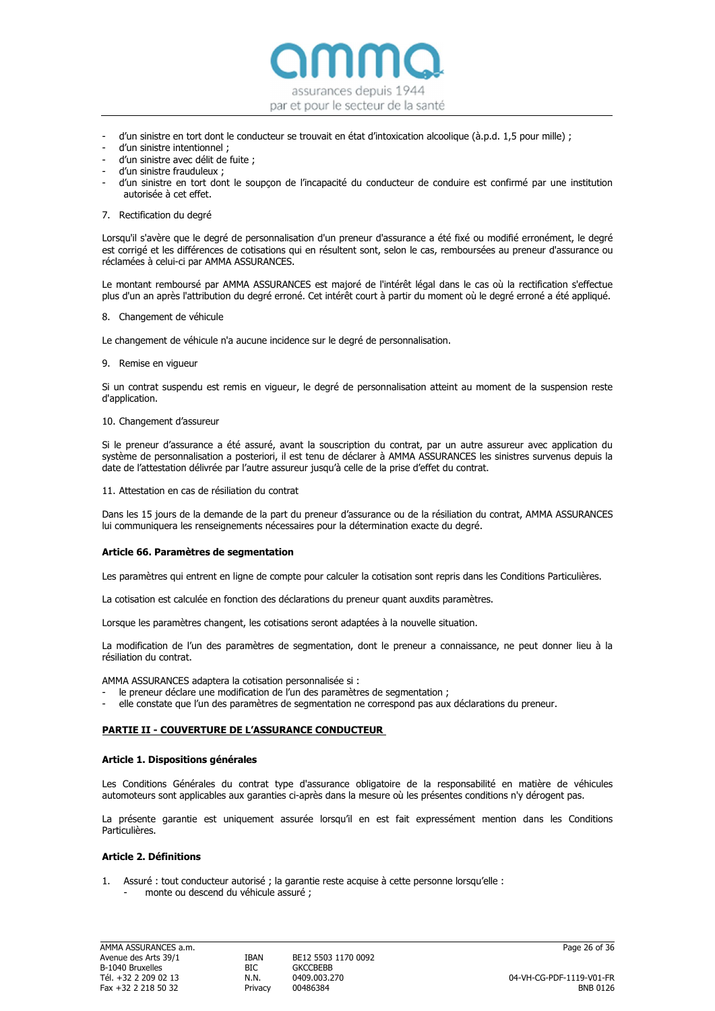

- d'un sinistre en tort dont le conducteur se trouvait en état d'intoxication alcoolique (à.p.d. 1,5 pour mille) ;
- d'un sinistre intentionnel ;
- d'un sinistre avec délit de fuite ;
- d'un sinistre frauduleux ;
- d'un sinistre en tort dont le soupçon de l'incapacité du conducteur de conduire est confirmé par une institution autorisée à cet effet.
- 7. Rectification du degré

Lorsqu'il s'avère que le degré de personnalisation d'un preneur d'assurance a été fixé ou modifié erronément, le degré est corrigé et les différences de cotisations qui en résultent sont, selon le cas, remboursées au preneur d'assurance ou réclamées à celui‐ci par AMMA ASSURANCES.

Le montant remboursé par AMMA ASSURANCES est majoré de l'intérêt légal dans le cas où la rectification s'effectue plus d'un an après l'attribution du degré erroné. Cet intérêt court à partir du moment où le degré erroné a été appliqué.

8. Changement de véhicule

Le changement de véhicule n'a aucune incidence sur le degré de personnalisation.

9. Remise en vigueur

Si un contrat suspendu est remis en vigueur, le degré de personnalisation atteint au moment de la suspension reste d'application.

#### 10. Changement d'assureur

Si le preneur d'assurance a été assuré, avant la souscription du contrat, par un autre assureur avec application du système de personnalisation a posteriori, il est tenu de déclarer à AMMA ASSURANCES les sinistres survenus depuis la date de l'attestation délivrée par l'autre assureur jusqu'à celle de la prise d'effet du contrat.

11. Attestation en cas de résiliation du contrat

Dans les 15 jours de la demande de la part du preneur d'assurance ou de la résiliation du contrat, AMMA ASSURANCES lui communiquera les renseignements nécessaires pour la détermination exacte du degré.

#### Article 66. Paramètres de segmentation

Les paramètres qui entrent en ligne de compte pour calculer la cotisation sont repris dans les Conditions Particulières.

La cotisation est calculée en fonction des déclarations du preneur quant auxdits paramètres.

Lorsque les paramètres changent, les cotisations seront adaptées à la nouvelle situation.

La modification de l'un des paramètres de segmentation, dont le preneur a connaissance, ne peut donner lieu à la résiliation du contrat.

AMMA ASSURANCES adaptera la cotisation personnalisée si :

- le preneur déclare une modification de l'un des paramètres de segmentation ;
- elle constate que l'un des paramètres de segmentation ne correspond pas aux déclarations du preneur.

#### PARTIE II ‐ COUVERTURE DE L'ASSURANCE CONDUCTEUR

#### Article 1. Dispositions générales

Les Conditions Générales du contrat type d'assurance obligatoire de la responsabilité en matière de véhicules automoteurs sont applicables aux garanties ci-après dans la mesure où les présentes conditions n'y dérogent pas.

La présente garantie est uniquement assurée lorsqu'il en est fait expressément mention dans les Conditions Particulières.

# Article 2. Définitions

1. Assuré : tout conducteur autorisé ; la garantie reste acquise à cette personne lorsqu'elle : monte ou descend du véhicule assuré :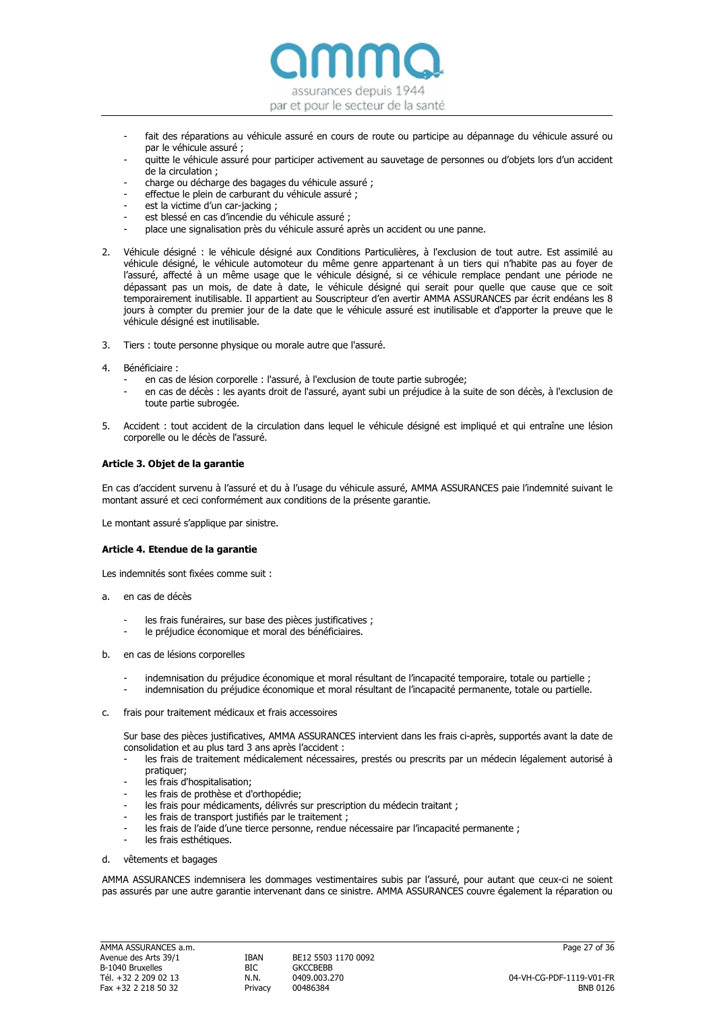

- fait des réparations au véhicule assuré en cours de route ou participe au dépannage du véhicule assuré ou par le véhicule assuré ;
- quitte le véhicule assuré pour participer activement au sauvetage de personnes ou d'objets lors d'un accident de la circulation ;
- charge ou décharge des bagages du véhicule assuré ;
- effectue le plein de carburant du véhicule assuré ;
- est la victime d'un car-jacking ;
- est blessé en cas d'incendie du véhicule assuré ;
- place une signalisation près du véhicule assuré après un accident ou une panne.
- 2. Véhicule désigné : le véhicule désigné aux Conditions Particulières, à l'exclusion de tout autre. Est assimilé au véhicule désigné, le véhicule automoteur du même genre appartenant à un tiers qui n'habite pas au foyer de l'assuré, affecté à un même usage que le véhicule désigné, si ce véhicule remplace pendant une période ne dépassant pas un mois, de date à date, le véhicule désigné qui serait pour quelle que cause que ce soit temporairement inutilisable. Il appartient au Souscripteur d'en avertir AMMA ASSURANCES par écrit endéans les 8 jours à compter du premier jour de la date que le véhicule assuré est inutilisable et d'apporter la preuve que le véhicule désigné est inutilisable.
- 3. Tiers : toute personne physique ou morale autre que l'assuré.
- 4. Bénéficiaire :
	- en cas de lésion corporelle : l'assuré, à l'exclusion de toute partie subrogée;
	- en cas de décès : les ayants droit de l'assuré, ayant subi un préjudice à la suite de son décès, à l'exclusion de toute partie subrogée.
- 5. Accident : tout accident de la circulation dans lequel le véhicule désigné est impliqué et qui entraîne une lésion corporelle ou le décès de l'assuré.

# Article 3. Objet de la garantie

En cas d'accident survenu à l'assuré et du à l'usage du véhicule assuré, AMMA ASSURANCES paie l'indemnité suivant le montant assuré et ceci conformément aux conditions de la présente garantie.

Le montant assuré s'applique par sinistre.

# Article 4. Etendue de la garantie

Les indemnités sont fixées comme suit :

- a. en cas de décès
	- les frais funéraires, sur base des pièces justificatives ;
	- le préjudice économique et moral des bénéficiaires.
- b. en cas de lésions corporelles
	- indemnisation du préjudice économique et moral résultant de l'incapacité temporaire, totale ou partielle ;
	- indemnisation du préjudice économique et moral résultant de l'incapacité permanente, totale ou partielle.
- c. frais pour traitement médicaux et frais accessoires

Sur base des pièces justificatives, AMMA ASSURANCES intervient dans les frais ci-après, supportés avant la date de consolidation et au plus tard 3 ans après l'accident :

- les frais de traitement médicalement nécessaires, prestés ou prescrits par un médecin légalement autorisé à pratiquer;
- les frais d'hospitalisation;
- les frais de prothèse et d'orthopédie;
- les frais pour médicaments, délivrés sur prescription du médecin traitant ;
- les frais de transport justifiés par le traitement ;
- les frais de l'aide d'une tierce personne, rendue nécessaire par l'incapacité permanente ;
- les frais esthétiques.
- d. vêtements et bagages

AMMA ASSURANCES indemnisera les dommages vestimentaires subis par l'assuré, pour autant que ceux‐ci ne soient pas assurés par une autre garantie intervenant dans ce sinistre. AMMA ASSURANCES couvre également la réparation ou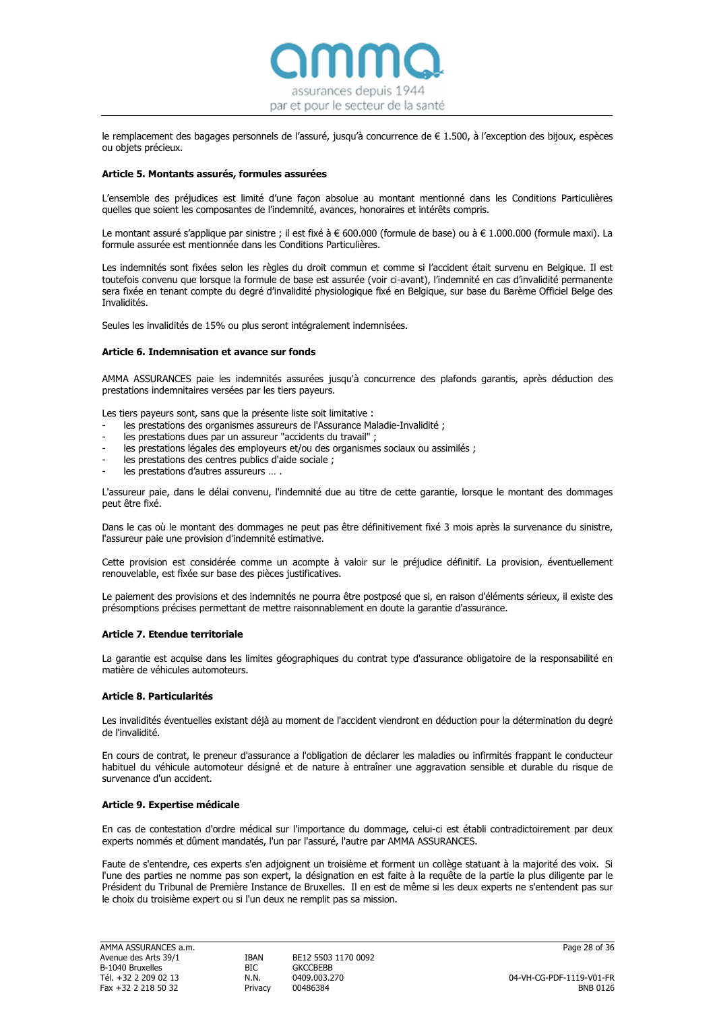

le remplacement des bagages personnels de l'assuré, jusqu'à concurrence de € 1.500, à l'exception des bijoux, espèces ou objets précieux.

### Article 5. Montants assurés, formules assurées

L'ensemble des préjudices est limité d'une façon absolue au montant mentionné dans les Conditions Particulières quelles que soient les composantes de l'indemnité, avances, honoraires et intérêts compris.

Le montant assuré s'applique par sinistre ; il est fixé à € 600.000 (formule de base) ou à € 1.000.000 (formule maxi). La formule assurée est mentionnée dans les Conditions Particulières.

Les indemnités sont fixées selon les règles du droit commun et comme si l'accident était survenu en Belgique. Il est toutefois convenu que lorsque la formule de base est assurée (voir ci‐avant), l'indemnité en cas d'invalidité permanente sera fixée en tenant compte du degré d'invalidité physiologique fixé en Belgique, sur base du Barème Officiel Belge des Invalidités.

Seules les invalidités de 15% ou plus seront intégralement indemnisées.

#### Article 6. Indemnisation et avance sur fonds

AMMA ASSURANCES paie les indemnités assurées jusqu'à concurrence des plafonds garantis, après déduction des prestations indemnitaires versées par les tiers payeurs.

Les tiers payeurs sont, sans que la présente liste soit limitative :

- les prestations des organismes assureurs de l'Assurance Maladie-Invalidité ;
- les prestations dues par un assureur "accidents du travail" ;
- les prestations légales des employeurs et/ou des organismes sociaux ou assimilés ;
- les prestations des centres publics d'aide sociale ;
- les prestations d'autres assureurs ...

L'assureur paie, dans le délai convenu, l'indemnité due au titre de cette garantie, lorsque le montant des dommages peut être fixé.

Dans le cas où le montant des dommages ne peut pas être définitivement fixé 3 mois après la survenance du sinistre, l'assureur paie une provision d'indemnité estimative.

Cette provision est considérée comme un acompte à valoir sur le préjudice définitif. La provision, éventuellement renouvelable, est fixée sur base des pièces justificatives.

Le paiement des provisions et des indemnités ne pourra être postposé que si, en raison d'éléments sérieux, il existe des présomptions précises permettant de mettre raisonnablement en doute la garantie d'assurance.

#### Article 7. Etendue territoriale

La garantie est acquise dans les limites géographiques du contrat type d'assurance obligatoire de la responsabilité en matière de véhicules automoteurs.

#### Article 8. Particularités

Les invalidités éventuelles existant déjà au moment de l'accident viendront en déduction pour la détermination du degré de l'invalidité.

En cours de contrat, le preneur d'assurance a l'obligation de déclarer les maladies ou infirmités frappant le conducteur habituel du véhicule automoteur désigné et de nature à entraîner une aggravation sensible et durable du risque de survenance d'un accident.

#### Article 9. Expertise médicale

En cas de contestation d'ordre médical sur l'importance du dommage, celui‐ci est établi contradictoirement par deux experts nommés et dûment mandatés, l'un par l'assuré, l'autre par AMMA ASSURANCES.

Faute de s'entendre, ces experts s'en adjoignent un troisième et forment un collège statuant à la majorité des voix. Si l'une des parties ne nomme pas son expert, la désignation en est faite à la requête de la partie la plus diligente par le Président du Tribunal de Première Instance de Bruxelles. Il en est de même si les deux experts ne s'entendent pas sur le choix du troisième expert ou si l'un deux ne remplit pas sa mission.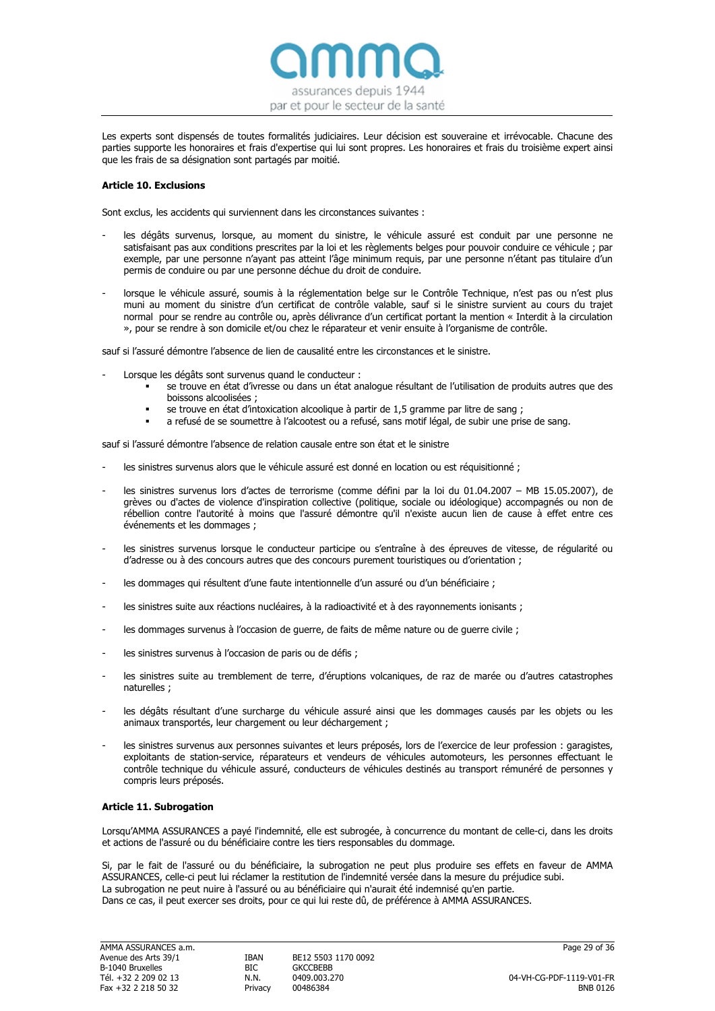

Les experts sont dispensés de toutes formalités judiciaires. Leur décision est souveraine et irrévocable. Chacune des parties supporte les honoraires et frais d'expertise qui lui sont propres. Les honoraires et frais du troisième expert ainsi que les frais de sa désignation sont partagés par moitié.

# Article 10. Exclusions

Sont exclus, les accidents qui surviennent dans les circonstances suivantes :

- les dégâts survenus, lorsque, au moment du sinistre, le véhicule assuré est conduit par une personne ne satisfaisant pas aux conditions prescrites par la loi et les règlements belges pour pouvoir conduire ce véhicule ; par exemple, par une personne n'ayant pas atteint l'âge minimum requis, par une personne n'étant pas titulaire d'un permis de conduire ou par une personne déchue du droit de conduire.
- lorsque le véhicule assuré, soumis à la réglementation belge sur le Contrôle Technique, n'est pas ou n'est plus muni au moment du sinistre d'un certificat de contrôle valable, sauf si le sinistre survient au cours du trajet normal pour se rendre au contrôle ou, après délivrance d'un certificat portant la mention « Interdit à la circulation », pour se rendre à son domicile et/ou chez le réparateur et venir ensuite à l'organisme de contrôle.

sauf si l'assuré démontre l'absence de lien de causalité entre les circonstances et le sinistre.

- Lorsque les dégâts sont survenus quand le conducteur :
	- se trouve en état d'ivresse ou dans un état analogue résultant de l'utilisation de produits autres que des boissons alcoolisées ;
	- se trouve en état d'intoxication alcoolique à partir de 1,5 gramme par litre de sang ;
	- a refusé de se soumettre à l'alcootest ou a refusé, sans motif légal, de subir une prise de sang.

sauf si l'assuré démontre l'absence de relation causale entre son état et le sinistre

- les sinistres survenus alors que le véhicule assuré est donné en location ou est réquisitionné ;
- les sinistres survenus lors d'actes de terrorisme (comme défini par la loi du 01.04.2007 MB 15.05.2007), de grèves ou d'actes de violence d'inspiration collective (politique, sociale ou idéologique) accompagnés ou non de rébellion contre l'autorité à moins que l'assuré démontre qu'il n'existe aucun lien de cause à effet entre ces événements et les dommages ;
- les sinistres survenus lorsque le conducteur participe ou s'entraîne à des épreuves de vitesse, de régularité ou d'adresse ou à des concours autres que des concours purement touristiques ou d'orientation ;
- les dommages qui résultent d'une faute intentionnelle d'un assuré ou d'un bénéficiaire ;
- les sinistres suite aux réactions nucléaires, à la radioactivité et à des rayonnements ionisants ;
- les dommages survenus à l'occasion de guerre, de faits de même nature ou de guerre civile ;
- les sinistres survenus à l'occasion de paris ou de défis ;
- les sinistres suite au tremblement de terre, d'éruptions volcaniques, de raz de marée ou d'autres catastrophes naturelles ;
- les dégâts résultant d'une surcharge du véhicule assuré ainsi que les dommages causés par les objets ou les animaux transportés, leur chargement ou leur déchargement ;
- les sinistres survenus aux personnes suivantes et leurs préposés, lors de l'exercice de leur profession : garagistes, exploitants de station‐service, réparateurs et vendeurs de véhicules automoteurs, les personnes effectuant le contrôle technique du véhicule assuré, conducteurs de véhicules destinés au transport rémunéré de personnes y compris leurs préposés.

# Article 11. Subrogation

Lorsqu'AMMA ASSURANCES a payé l'indemnité, elle est subrogée, à concurrence du montant de celle‐ci, dans les droits et actions de l'assuré ou du bénéficiaire contre les tiers responsables du dommage.

Si, par le fait de l'assuré ou du bénéficiaire, la subrogation ne peut plus produire ses effets en faveur de AMMA ASSURANCES, celle‐ci peut lui réclamer la restitution de l'indemnité versée dans la mesure du préjudice subi. La subrogation ne peut nuire à l'assuré ou au bénéficiaire qui n'aurait été indemnisé qu'en partie. Dans ce cas, il peut exercer ses droits, pour ce qui lui reste dû, de préférence à AMMA ASSURANCES.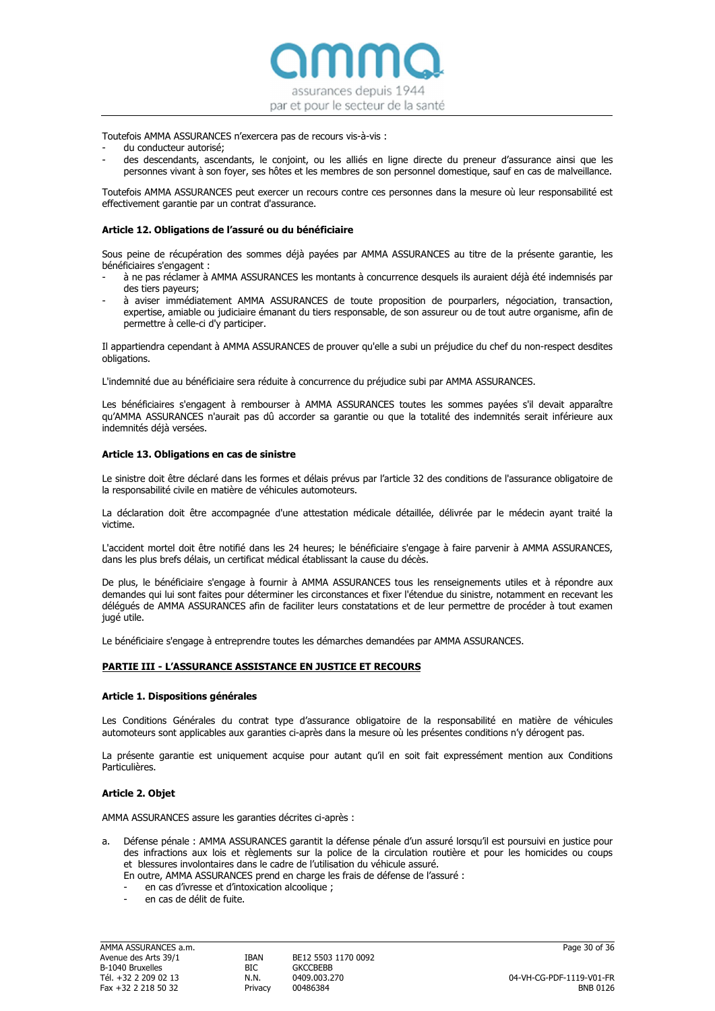assurances depuis 1944 par et pour le secteur de la santé

Toutefois AMMA ASSURANCES n'exercera pas de recours vis‐à‐vis :

- du conducteur autorisé:
- des descendants, ascendants, le conjoint, ou les alliés en ligne directe du preneur d'assurance ainsi que les personnes vivant à son foyer, ses hôtes et les membres de son personnel domestique, sauf en cas de malveillance.

Toutefois AMMA ASSURANCES peut exercer un recours contre ces personnes dans la mesure où leur responsabilité est effectivement garantie par un contrat d'assurance.

### Article 12. Obligations de l'assuré ou du bénéficiaire

Sous peine de récupération des sommes déjà payées par AMMA ASSURANCES au titre de la présente garantie, les bénéficiaires s'engagent :

- à ne pas réclamer à AMMA ASSURANCES les montants à concurrence desquels ils auraient déjà été indemnisés par des tiers payeurs;
- à aviser immédiatement AMMA ASSURANCES de toute proposition de pourparlers, négociation, transaction, expertise, amiable ou judiciaire émanant du tiers responsable, de son assureur ou de tout autre organisme, afin de permettre à celle‐ci d'y participer.

Il appartiendra cependant à AMMA ASSURANCES de prouver qu'elle a subi un préjudice du chef du non‐respect desdites obligations.

L'indemnité due au bénéficiaire sera réduite à concurrence du préjudice subi par AMMA ASSURANCES.

Les bénéficiaires s'engagent à rembourser à AMMA ASSURANCES toutes les sommes payées s'il devait apparaître qu'AMMA ASSURANCES n'aurait pas dû accorder sa garantie ou que la totalité des indemnités serait inférieure aux indemnités déjà versées.

#### Article 13. Obligations en cas de sinistre

Le sinistre doit être déclaré dans les formes et délais prévus par l'article 32 des conditions de l'assurance obligatoire de la responsabilité civile en matière de véhicules automoteurs.

La déclaration doit être accompagnée d'une attestation médicale détaillée, délivrée par le médecin ayant traité la victime.

L'accident mortel doit être notifié dans les 24 heures; le bénéficiaire s'engage à faire parvenir à AMMA ASSURANCES, dans les plus brefs délais, un certificat médical établissant la cause du décès.

De plus, le bénéficiaire s'engage à fournir à AMMA ASSURANCES tous les renseignements utiles et à répondre aux demandes qui lui sont faites pour déterminer les circonstances et fixer l'étendue du sinistre, notamment en recevant les délégués de AMMA ASSURANCES afin de faciliter leurs constatations et de leur permettre de procéder à tout examen jugé utile.

Le bénéficiaire s'engage à entreprendre toutes les démarches demandées par AMMA ASSURANCES.

#### PARTIE III - L'ASSURANCE ASSISTANCE EN JUSTICE ET RECOURS

#### Article 1. Dispositions générales

Les Conditions Générales du contrat type d'assurance obligatoire de la responsabilité en matière de véhicules automoteurs sont applicables aux garanties ci-après dans la mesure où les présentes conditions n'y dérogent pas.

La présente garantie est uniquement acquise pour autant qu'il en soit fait expressément mention aux Conditions Particulières.

#### Article 2. Objet

AMMA ASSURANCES assure les garanties décrites ci‐après :

- Défense pénale : AMMA ASSURANCES garantit la défense pénale d'un assuré lorsqu'il est poursuivi en justice pour des infractions aux lois et règlements sur la police de la circulation routière et pour les homicides ou coups et blessures involontaires dans le cadre de l'utilisation du véhicule assuré.
	- En outre, AMMA ASSURANCES prend en charge les frais de défense de l'assuré :
	- en cas d'ivresse et d'intoxication alcoolique ;
	- en cas de délit de fuite.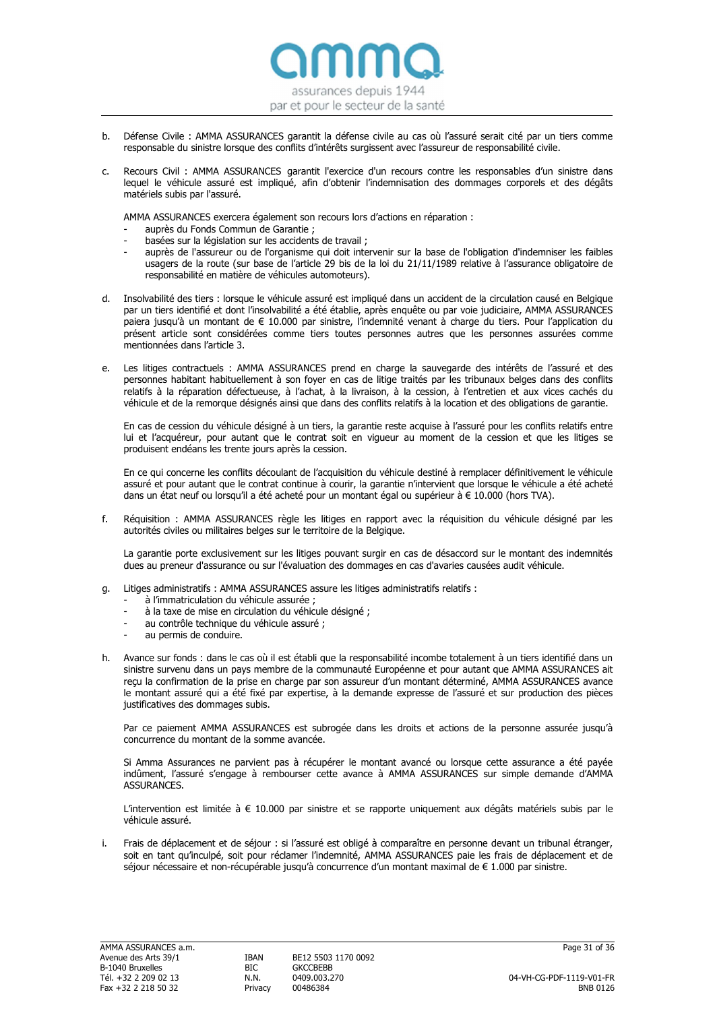

- b. Défense Civile : AMMA ASSURANCES garantit la défense civile au cas où l'assuré serait cité par un tiers comme responsable du sinistre lorsque des conflits d'intérêts surgissent avec l'assureur de responsabilité civile.
- c. Recours Civil : AMMA ASSURANCES garantit l'exercice d'un recours contre les responsables d'un sinistre dans lequel le véhicule assuré est impliqué, afin d'obtenir l'indemnisation des dommages corporels et des dégâts matériels subis par l'assuré.

AMMA ASSURANCES exercera également son recours lors d'actions en réparation :

- auprès du Fonds Commun de Garantie ;
- basées sur la législation sur les accidents de travail :
- auprès de l'assureur ou de l'organisme qui doit intervenir sur la base de l'obligation d'indemniser les faibles usagers de la route (sur base de l'article 29 bis de la loi du 21/11/1989 relative à l'assurance obligatoire de responsabilité en matière de véhicules automoteurs).
- d. Insolvabilité des tiers : lorsque le véhicule assuré est impliqué dans un accident de la circulation causé en Belgique par un tiers identifié et dont l'insolvabilité a été établie, après enquête ou par voie judiciaire, AMMA ASSURANCES paiera jusqu'à un montant de € 10.000 par sinistre, l'indemnité venant à charge du tiers. Pour l'application du présent article sont considérées comme tiers toutes personnes autres que les personnes assurées comme mentionnées dans l'article 3.
- e. Les litiges contractuels : AMMA ASSURANCES prend en charge la sauvegarde des intérêts de l'assuré et des personnes habitant habituellement à son foyer en cas de litige traités par les tribunaux belges dans des conflits relatifs à la réparation défectueuse, à l'achat, à la livraison, à la cession, à l'entretien et aux vices cachés du véhicule et de la remorque désignés ainsi que dans des conflits relatifs à la location et des obligations de garantie.

En cas de cession du véhicule désigné à un tiers, la garantie reste acquise à l'assuré pour les conflits relatifs entre lui et l'acquéreur, pour autant que le contrat soit en vigueur au moment de la cession et que les litiges se produisent endéans les trente jours après la cession.

En ce qui concerne les conflits découlant de l'acquisition du véhicule destiné à remplacer définitivement le véhicule assuré et pour autant que le contrat continue à courir, la garantie n'intervient que lorsque le véhicule a été acheté dans un état neuf ou lorsqu'il a été acheté pour un montant égal ou supérieur à € 10.000 (hors TVA).

f. Réquisition : AMMA ASSURANCES règle les litiges en rapport avec la réquisition du véhicule désigné par les autorités civiles ou militaires belges sur le territoire de la Belgique.

La garantie porte exclusivement sur les litiges pouvant surgir en cas de désaccord sur le montant des indemnités dues au preneur d'assurance ou sur l'évaluation des dommages en cas d'avaries causées audit véhicule.

- g. Litiges administratifs : AMMA ASSURANCES assure les litiges administratifs relatifs :
	- à l'immatriculation du véhicule assurée :
	- à la taxe de mise en circulation du véhicule désigné ;
	- au contrôle technique du véhicule assuré ;
	- au permis de conduire.
- h. Avance sur fonds : dans le cas où il est établi que la responsabilité incombe totalement à un tiers identifié dans un sinistre survenu dans un pays membre de la communauté Européenne et pour autant que AMMA ASSURANCES ait reçu la confirmation de la prise en charge par son assureur d'un montant déterminé, AMMA ASSURANCES avance le montant assuré qui a été fixé par expertise, à la demande expresse de l'assuré et sur production des pièces justificatives des dommages subis.

Par ce paiement AMMA ASSURANCES est subrogée dans les droits et actions de la personne assurée jusqu'à concurrence du montant de la somme avancée.

Si Amma Assurances ne parvient pas à récupérer le montant avancé ou lorsque cette assurance a été payée indûment, l'assuré s'engage à rembourser cette avance à AMMA ASSURANCES sur simple demande d'AMMA ASSURANCES.

L'intervention est limitée à € 10.000 par sinistre et se rapporte uniquement aux dégâts matériels subis par le véhicule assuré.

i. Frais de déplacement et de séjour : si l'assuré est obligé à comparaître en personne devant un tribunal étranger, soit en tant qu'inculpé, soit pour réclamer l'indemnité, AMMA ASSURANCES paie les frais de déplacement et de séjour nécessaire et non-récupérable jusqu'à concurrence d'un montant maximal de € 1.000 par sinistre.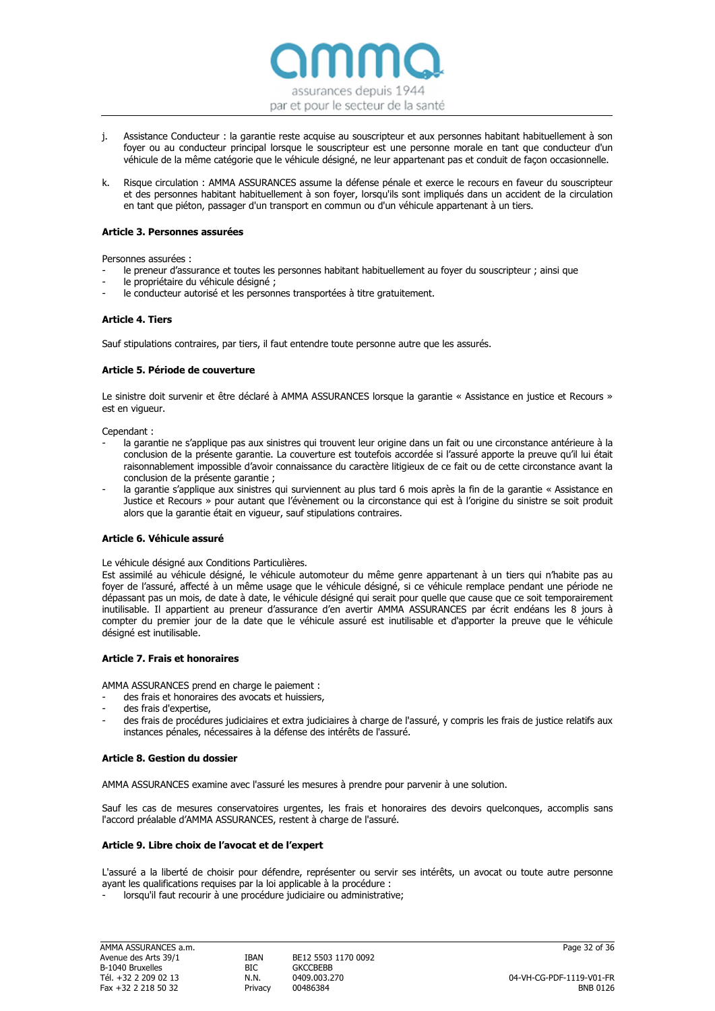

- j. Assistance Conducteur : la garantie reste acquise au souscripteur et aux personnes habitant habituellement à son foyer ou au conducteur principal lorsque le souscripteur est une personne morale en tant que conducteur d'un véhicule de la même catégorie que le véhicule désigné, ne leur appartenant pas et conduit de façon occasionnelle.
- k. Risque circulation : AMMA ASSURANCES assume la défense pénale et exerce le recours en faveur du souscripteur et des personnes habitant habituellement à son foyer, lorsqu'ils sont impliqués dans un accident de la circulation en tant que piéton, passager d'un transport en commun ou d'un véhicule appartenant à un tiers.

# Article 3. Personnes assurées

Personnes assurées :

- le preneur d'assurance et toutes les personnes habitant habituellement au foyer du souscripteur ; ainsi que
- le propriétaire du véhicule désigné ;
- le conducteur autorisé et les personnes transportées à titre gratuitement.

# Article 4. Tiers

Sauf stipulations contraires, par tiers, il faut entendre toute personne autre que les assurés.

# Article 5. Période de couverture

Le sinistre doit survenir et être déclaré à AMMA ASSURANCES lorsque la garantie « Assistance en justice et Recours » est en vigueur.

Cependant :

- la garantie ne s'applique pas aux sinistres qui trouvent leur origine dans un fait ou une circonstance antérieure à la conclusion de la présente garantie. La couverture est toutefois accordée si l'assuré apporte la preuve qu'il lui était raisonnablement impossible d'avoir connaissance du caractère litigieux de ce fait ou de cette circonstance avant la conclusion de la présente garantie ;
- la garantie s'applique aux sinistres qui surviennent au plus tard 6 mois après la fin de la garantie « Assistance en Justice et Recours » pour autant que l'évènement ou la circonstance qui est à l'origine du sinistre se soit produit alors que la garantie était en vigueur, sauf stipulations contraires.

# Article 6. Véhicule assuré

Le véhicule désigné aux Conditions Particulières.

Est assimilé au véhicule désigné, le véhicule automoteur du même genre appartenant à un tiers qui n'habite pas au foyer de l'assuré, affecté à un même usage que le véhicule désigné, si ce véhicule remplace pendant une période ne dépassant pas un mois, de date à date, le véhicule désigné qui serait pour quelle que cause que ce soit temporairement inutilisable. Il appartient au preneur d'assurance d'en avertir AMMA ASSURANCES par écrit endéans les 8 jours à compter du premier jour de la date que le véhicule assuré est inutilisable et d'apporter la preuve que le véhicule désigné est inutilisable.

# Article 7. Frais et honoraires

AMMA ASSURANCES prend en charge le paiement :

- des frais et honoraires des avocats et huissiers,
- des frais d'expertise.
- des frais de procédures judiciaires et extra judiciaires à charge de l'assuré, y compris les frais de justice relatifs aux instances pénales, nécessaires à la défense des intérêts de l'assuré.

# Article 8. Gestion du dossier

AMMA ASSURANCES examine avec l'assuré les mesures à prendre pour parvenir à une solution.

Sauf les cas de mesures conservatoires urgentes, les frais et honoraires des devoirs quelconques, accomplis sans l'accord préalable d'AMMA ASSURANCES, restent à charge de l'assuré.

# Article 9. Libre choix de l'avocat et de l'expert

L'assuré a la liberté de choisir pour défendre, représenter ou servir ses intérêts, un avocat ou toute autre personne ayant les qualifications requises par la loi applicable à la procédure :

lorsqu'il faut recourir à une procédure judiciaire ou administrative;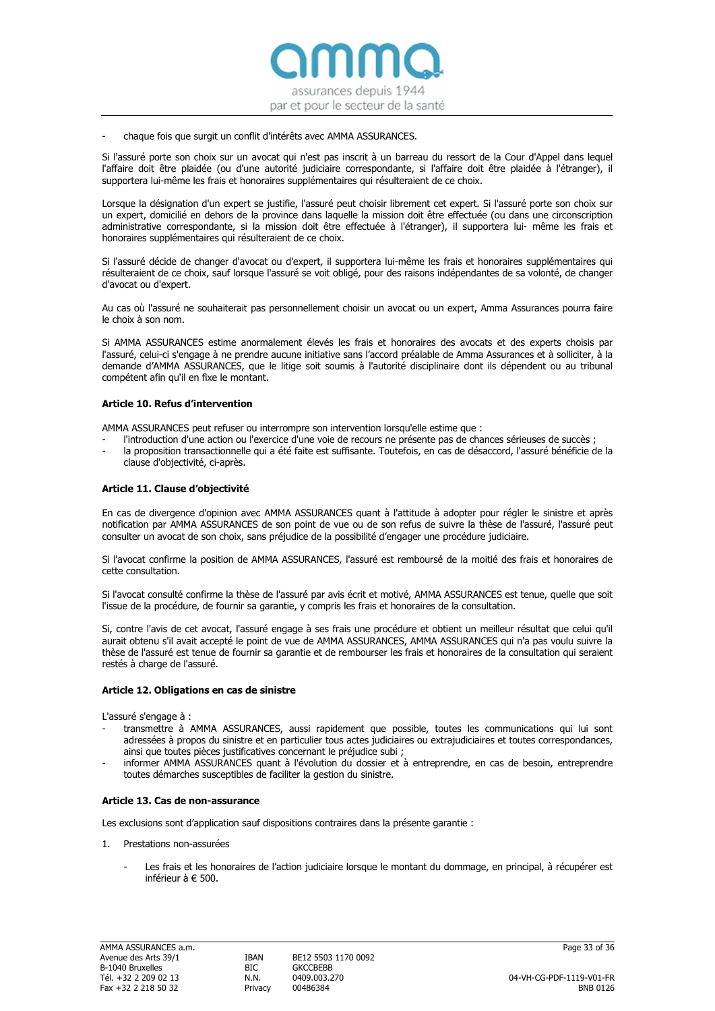

#### chaque fois que surgit un conflit d'intérêts avec AMMA ASSURANCES.

Si l'assuré porte son choix sur un avocat qui n'est pas inscrit à un barreau du ressort de la Cour d'Appel dans lequel l'affaire doit être plaidée (ou d'une autorité judiciaire correspondante, si l'affaire doit être plaidée à l'étranger), il supportera lui‐même les frais et honoraires supplémentaires qui résulteraient de ce choix.

Lorsque la désignation d'un expert se justifie, l'assuré peut choisir librement cet expert. Si l'assuré porte son choix sur un expert, domicilié en dehors de la province dans laquelle la mission doit être effectuée (ou dans une circonscription administrative correspondante, si la mission doit être effectuée à l'étranger), il supportera lui‐ même les frais et honoraires supplémentaires qui résulteraient de ce choix.

Si l'assuré décide de changer d'avocat ou d'expert, il supportera lui‐même les frais et honoraires supplémentaires qui résulteraient de ce choix, sauf lorsque l'assuré se voit obligé, pour des raisons indépendantes de sa volonté, de changer d'avocat ou d'expert.

Au cas où l'assuré ne souhaiterait pas personnellement choisir un avocat ou un expert, Amma Assurances pourra faire le choix à son nom.

Si AMMA ASSURANCES estime anormalement élevés les frais et honoraires des avocats et des experts choisis par l'assuré, celui‐ci s'engage à ne prendre aucune initiative sans l'accord préalable de Amma Assurances et à solliciter, à la demande d'AMMA ASSURANCES, que le litige soit soumis à l'autorité disciplinaire dont ils dépendent ou au tribunal compétent afin qu'il en fixe le montant.

#### Article 10. Refus d'intervention

AMMA ASSURANCES peut refuser ou interrompre son intervention lorsqu'elle estime que :

- l'introduction d'une action ou l'exercice d'une voie de recours ne présente pas de chances sérieuses de succès ; la proposition transactionnelle qui a été faite est suffisante. Toutefois, en cas de désaccord, l'assuré bénéficie de la
- clause d'objectivité, ci‐après.

# Article 11. Clause d'objectivité

En cas de divergence d'opinion avec AMMA ASSURANCES quant à l'attitude à adopter pour régler le sinistre et après notification par AMMA ASSURANCES de son point de vue ou de son refus de suivre la thèse de l'assuré, l'assuré peut consulter un avocat de son choix, sans préjudice de la possibilité d'engager une procédure judiciaire.

Si l'avocat confirme la position de AMMA ASSURANCES, l'assuré est remboursé de la moitié des frais et honoraires de cette consultation.

Si l'avocat consulté confirme la thèse de l'assuré par avis écrit et motivé, AMMA ASSURANCES est tenue, quelle que soit l'issue de la procédure, de fournir sa garantie, y compris les frais et honoraires de la consultation.

Si, contre l'avis de cet avocat, l'assuré engage à ses frais une procédure et obtient un meilleur résultat que celui qu'il aurait obtenu s'il avait accepté le point de vue de AMMA ASSURANCES, AMMA ASSURANCES qui n'a pas voulu suivre la thèse de l'assuré est tenue de fournir sa garantie et de rembourser les frais et honoraires de la consultation qui seraient restés à charge de l'assuré.

#### Article 12. Obligations en cas de sinistre

L'assuré s'engage à :

- transmettre à AMMA ASSURANCES, aussi rapidement que possible, toutes les communications qui lui sont adressées à propos du sinistre et en particulier tous actes judiciaires ou extrajudiciaires et toutes correspondances, ainsi que toutes pièces justificatives concernant le préjudice subi ;
- informer AMMA ASSURANCES quant à l'évolution du dossier et à entreprendre, en cas de besoin, entreprendre toutes démarches susceptibles de faciliter la gestion du sinistre.

#### Article 13. Cas de non‐assurance

Les exclusions sont d'application sauf dispositions contraires dans la présente garantie :

- 1. Prestations non‐assurées
	- Les frais et les honoraires de l'action judiciaire lorsque le montant du dommage, en principal, à récupérer est inférieur à € 500.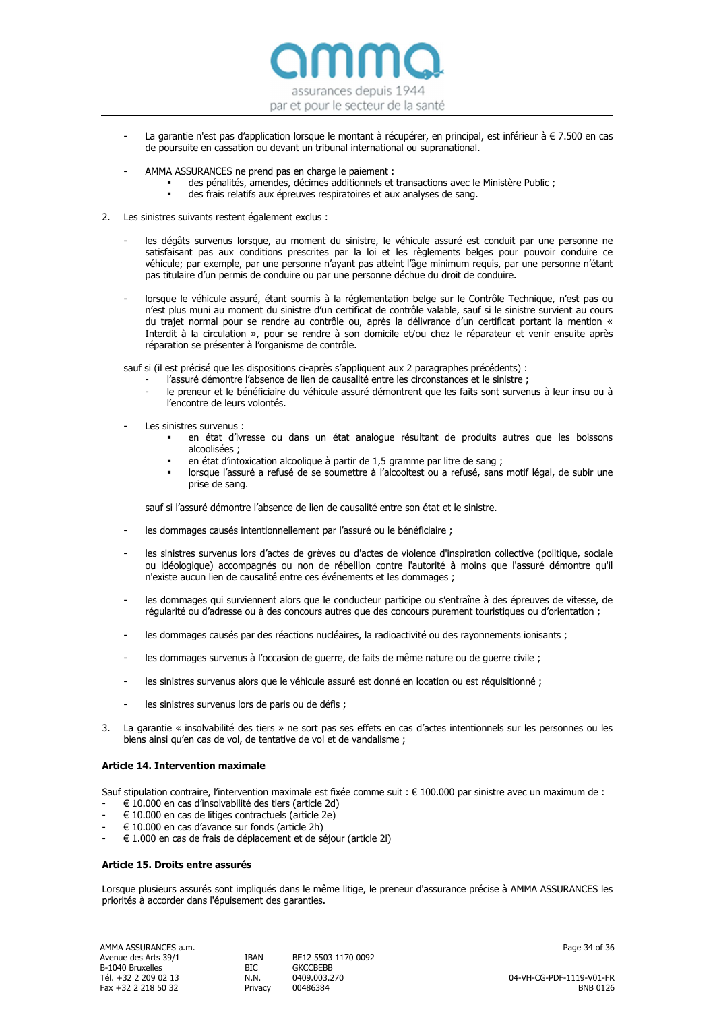

- La garantie n'est pas d'application lorsque le montant à récupérer, en principal, est inférieur à € 7.500 en cas de poursuite en cassation ou devant un tribunal international ou supranational.
- AMMA ASSURANCES ne prend pas en charge le paiement :
	- des pénalités, amendes, décimes additionnels et transactions avec le Ministère Public ;
	- des frais relatifs aux épreuves respiratoires et aux analyses de sang.
- 2. Les sinistres suivants restent également exclus :
	- les dégâts survenus lorsque, au moment du sinistre, le véhicule assuré est conduit par une personne ne satisfaisant pas aux conditions prescrites par la loi et les règlements belges pour pouvoir conduire ce véhicule; par exemple, par une personne n'ayant pas atteint l'âge minimum requis, par une personne n'étant pas titulaire d'un permis de conduire ou par une personne déchue du droit de conduire.
	- lorsque le véhicule assuré, étant soumis à la réglementation belge sur le Contrôle Technique, n'est pas ou n'est plus muni au moment du sinistre d'un certificat de contrôle valable, sauf si le sinistre survient au cours du trajet normal pour se rendre au contrôle ou, après la délivrance d'un certificat portant la mention « Interdit à la circulation », pour se rendre à son domicile et/ou chez le réparateur et venir ensuite après réparation se présenter à l'organisme de contrôle.

sauf si (il est précisé que les dispositions ci-après s'appliquent aux 2 paragraphes précédents) :

- l'assuré démontre l'absence de lien de causalité entre les circonstances et le sinistre ;
- le preneur et le bénéficiaire du véhicule assuré démontrent que les faits sont survenus à leur insu ou à l'encontre de leurs volontés.
- Les sinistres survenus :
	- en état d'ivresse ou dans un état analogue résultant de produits autres que les boissons alcoolisées ;
	- en état d'intoxication alcoolique à partir de 1,5 gramme par litre de sang ;
	- lorsque l'assuré a refusé de se soumettre à l'alcooltest ou a refusé, sans motif légal, de subir une prise de sang.

sauf si l'assuré démontre l'absence de lien de causalité entre son état et le sinistre.

- les dommages causés intentionnellement par l'assuré ou le bénéficiaire :
- les sinistres survenus lors d'actes de grèves ou d'actes de violence d'inspiration collective (politique, sociale ou idéologique) accompagnés ou non de rébellion contre l'autorité à moins que l'assuré démontre qu'il n'existe aucun lien de causalité entre ces événements et les dommages ;
- les dommages qui surviennent alors que le conducteur participe ou s'entraîne à des épreuves de vitesse, de régularité ou d'adresse ou à des concours autres que des concours purement touristiques ou d'orientation ;
- les dommages causés par des réactions nucléaires, la radioactivité ou des rayonnements ionisants ;
- les dommages survenus à l'occasion de guerre, de faits de même nature ou de guerre civile ;
- les sinistres survenus alors que le véhicule assuré est donné en location ou est réquisitionné ;
- les sinistres survenus lors de paris ou de défis ;
- 3. La garantie « insolvabilité des tiers » ne sort pas ses effets en cas d'actes intentionnels sur les personnes ou les biens ainsi qu'en cas de vol, de tentative de vol et de vandalisme ;

# Article 14. Intervention maximale

Sauf stipulation contraire, l'intervention maximale est fixée comme suit : € 100.000 par sinistre avec un maximum de :

- $\in$  10.000 en cas d'insolvabilité des tiers (article 2d)
- $\in$  10.000 en cas de litiges contractuels (article 2e)
- $\in$  10.000 en cas d'avance sur fonds (article 2h)
- $\in$  1.000 en cas de frais de déplacement et de séjour (article 2i)

#### Article 15. Droits entre assurés

Lorsque plusieurs assurés sont impliqués dans le même litige, le preneur d'assurance précise à AMMA ASSURANCES les priorités à accorder dans l'épuisement des garanties.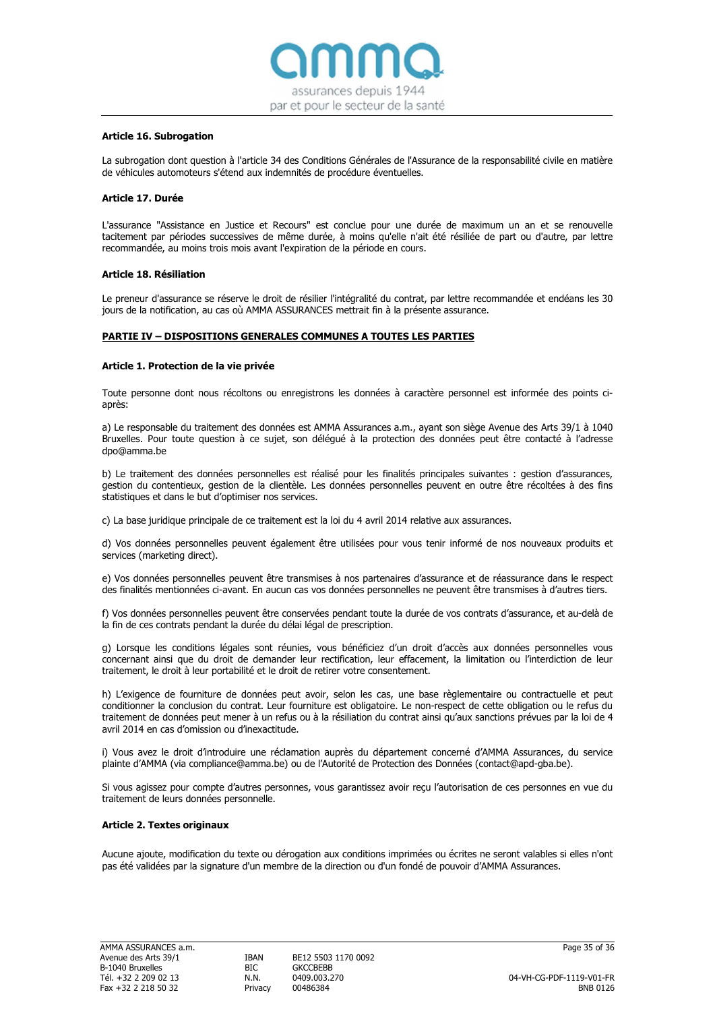

#### Article 16. Subrogation

La subrogation dont question à l'article 34 des Conditions Générales de l'Assurance de la responsabilité civile en matière de véhicules automoteurs s'étend aux indemnités de procédure éventuelles.

### Article 17. Durée

L'assurance "Assistance en Justice et Recours" est conclue pour une durée de maximum un an et se renouvelle tacitement par périodes successives de même durée, à moins qu'elle n'ait été résiliée de part ou d'autre, par lettre recommandée, au moins trois mois avant l'expiration de la période en cours.

#### Article 18. Résiliation

Le preneur d'assurance se réserve le droit de résilier l'intégralité du contrat, par lettre recommandée et endéans les 30 jours de la notification, au cas où AMMA ASSURANCES mettrait fin à la présente assurance.

# PARTIE IV – DISPOSITIONS GENERALES COMMUNES A TOUTES LES PARTIES

#### Article 1. Protection de la vie privée

Toute personne dont nous récoltons ou enregistrons les données à caractère personnel est informée des points ciaprès:

a) Le responsable du traitement des données est AMMA Assurances a.m., ayant son siège Avenue des Arts 39/1 à 1040 Bruxelles. Pour toute question à ce sujet, son délégué à la protection des données peut être contacté à l'adresse dpo@amma.be

b) Le traitement des données personnelles est réalisé pour les finalités principales suivantes : gestion d'assurances, gestion du contentieux, gestion de la clientèle. Les données personnelles peuvent en outre être récoltées à des fins statistiques et dans le but d'optimiser nos services.

c) La base juridique principale de ce traitement est la loi du 4 avril 2014 relative aux assurances.

d) Vos données personnelles peuvent également être utilisées pour vous tenir informé de nos nouveaux produits et services (marketing direct).

e) Vos données personnelles peuvent être transmises à nos partenaires d'assurance et de réassurance dans le respect des finalités mentionnées ci-avant. En aucun cas vos données personnelles ne peuvent être transmises à d'autres tiers.

f) Vos données personnelles peuvent être conservées pendant toute la durée de vos contrats d'assurance, et au-delà de la fin de ces contrats pendant la durée du délai légal de prescription.

g) Lorsque les conditions légales sont réunies, vous bénéficiez d'un droit d'accès aux données personnelles vous concernant ainsi que du droit de demander leur rectification, leur effacement, la limitation ou l'interdiction de leur traitement, le droit à leur portabilité et le droit de retirer votre consentement.

h) L'exigence de fourniture de données peut avoir, selon les cas, une base règlementaire ou contractuelle et peut conditionner la conclusion du contrat. Leur fourniture est obligatoire. Le non-respect de cette obligation ou le refus du traitement de données peut mener à un refus ou à la résiliation du contrat ainsi qu'aux sanctions prévues par la loi de 4 avril 2014 en cas d'omission ou d'inexactitude.

i) Vous avez le droit d'introduire une réclamation auprès du département concerné d'AMMA Assurances, du service plainte d'AMMA (via compliance@amma.be) ou de l'Autorité de Protection des Données (contact@apd-gba.be).

Si vous agissez pour compte d'autres personnes, vous garantissez avoir reçu l'autorisation de ces personnes en vue du traitement de leurs données personnelle.

#### Article 2. Textes originaux

Aucune ajoute, modification du texte ou dérogation aux conditions imprimées ou écrites ne seront valables si elles n'ont pas été validées par la signature d'un membre de la direction ou d'un fondé de pouvoir d'AMMA Assurances.